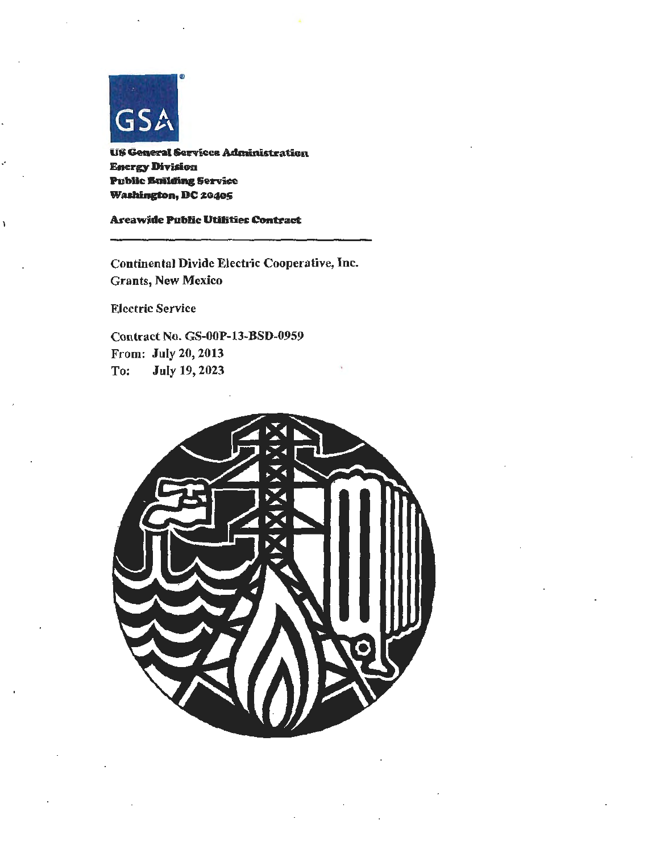

À

US General Services Adalinistratien **Energy Division Public Building Service** Washington, DC Z040S

Areawide Public Utilities Contract

Continental Divide Electric Cooperative, Inc. Grants, New Mexico

Electric Service

Contract No. GS-OOP-13-BSD-0959 From: July 20, 2013 To: July 19, 2023

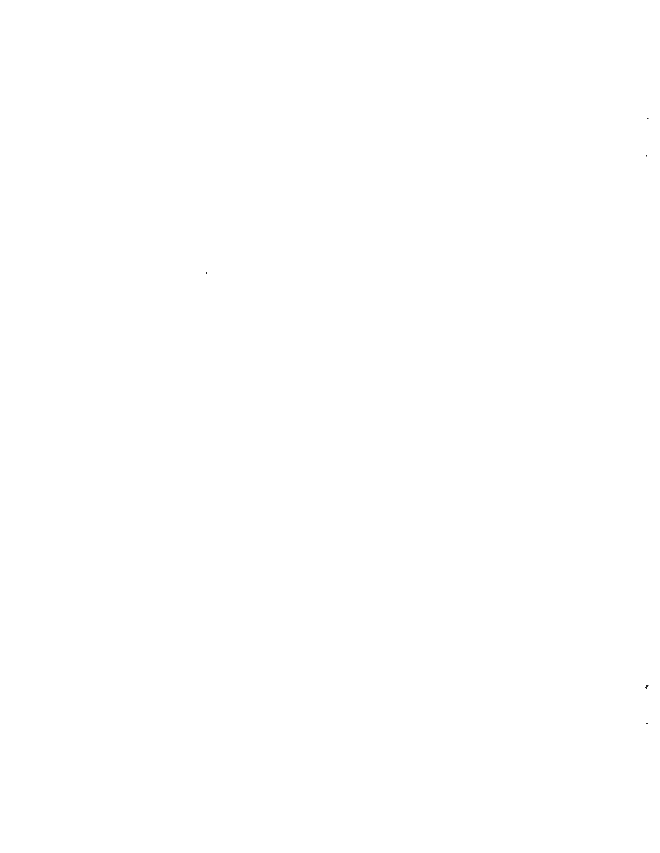$\sim$   $\sim$  $\sim$  $\label{eq:2.1} \frac{1}{2} \int_{\mathbb{R}^3} \frac{1}{\sqrt{2}} \, \frac{1}{\sqrt{2}} \, \frac{1}{\sqrt{2}} \, \frac{1}{\sqrt{2}} \, \frac{1}{\sqrt{2}} \, \frac{1}{\sqrt{2}} \, \frac{1}{\sqrt{2}} \, \frac{1}{\sqrt{2}} \, \frac{1}{\sqrt{2}} \, \frac{1}{\sqrt{2}} \, \frac{1}{\sqrt{2}} \, \frac{1}{\sqrt{2}} \, \frac{1}{\sqrt{2}} \, \frac{1}{\sqrt{2}} \, \frac{1}{\sqrt{2}} \, \frac{1}{\sqrt{2}} \,$ 

 $\label{eq:2.1} \mathcal{L}(\mathcal{L}^{\text{max}}_{\mathcal{L}}(\mathcal{L}^{\text{max}}_{\mathcal{L}})) \leq \mathcal{L}(\mathcal{L}^{\text{max}}_{\mathcal{L}}(\mathcal{L}^{\text{max}}_{\mathcal{L}}))$ 

 $\bar{\pmb{r}}$ 

 $\hat{\mathcal{L}}$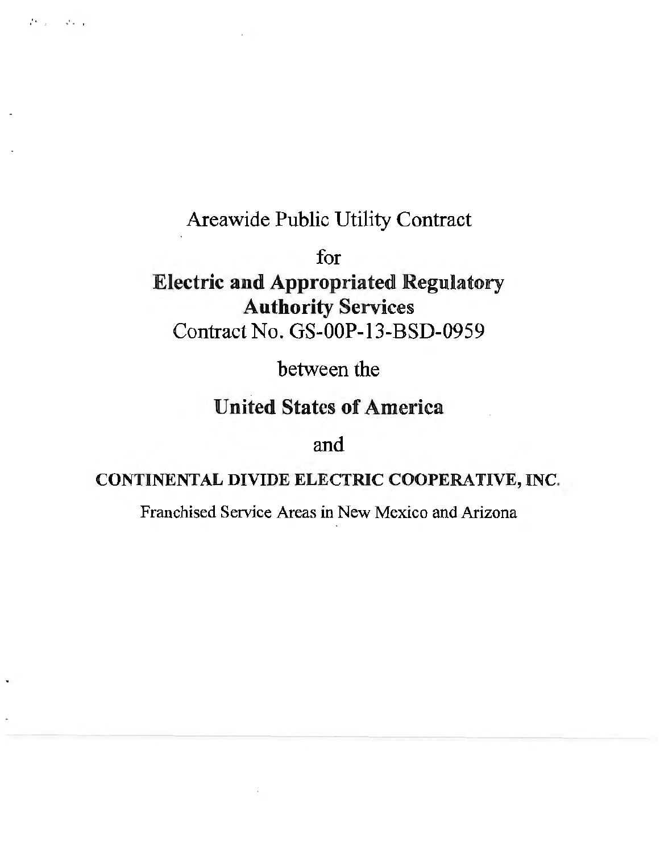# Areawide Public Utility Contract

 $25.1 - 34.4$ 

for **Electric and Appropriated Regulatory Authority Services** Contract No. GS-00P-13-BSD-0959

between the

# **United States of America**

## and

## CONTINENTAL DIVIDE ELECTRIC COOPERATIVE, INC.

Franchised Service Areas in New Mexico and Arizona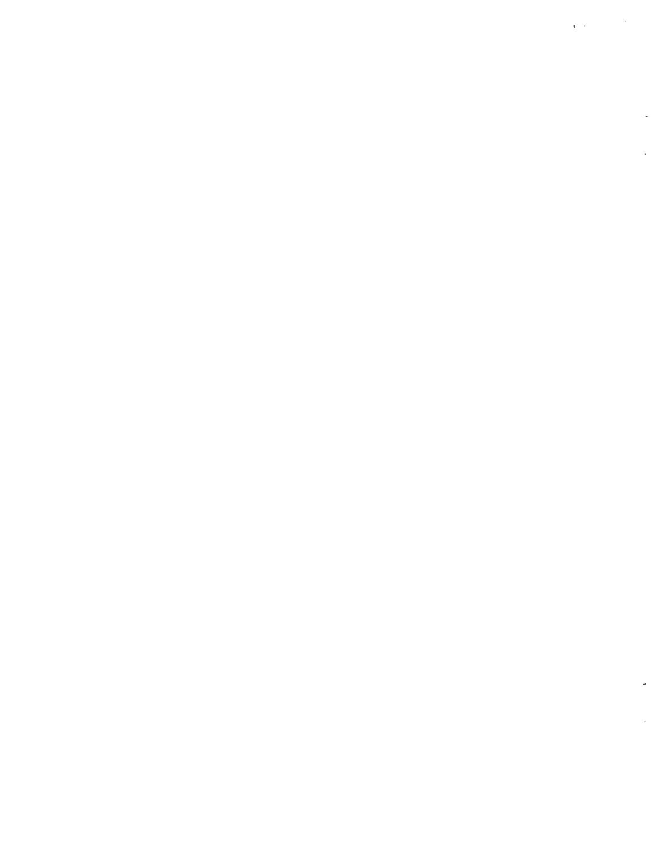$\ddot{\phantom{0}}$ 

 $\mathcal{L}^{\mathcal{L}}$ 

k,

 $\mathbb{R}^d$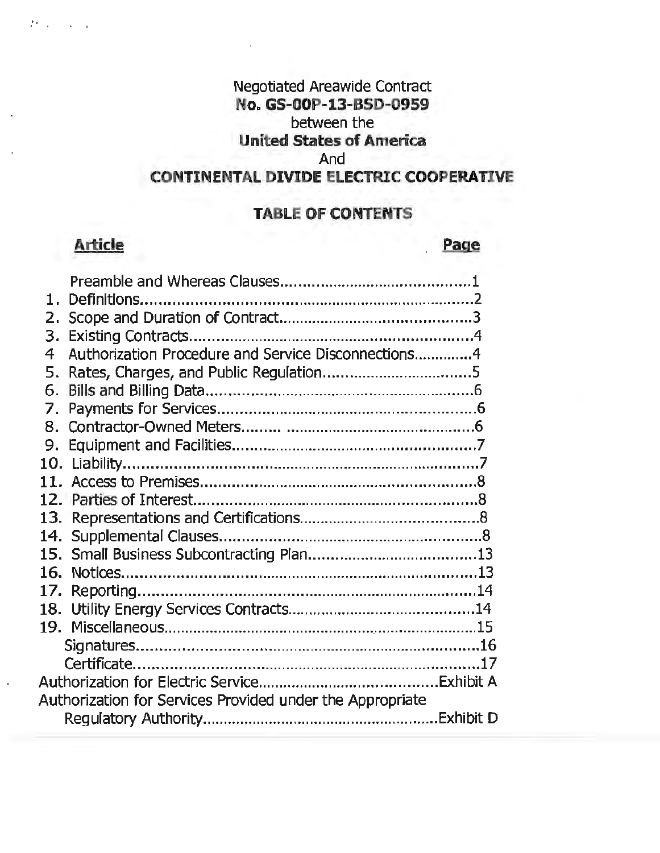# Negotiated Areawide Contract **No .. GS-OOP-13-BSD-0959**

# between the

# **United States of America**

## And

## **CONTINENTAL DIVIDE ELECTRIC COOPERATIVE**

## **TABLE OF CONTENTS**

# **Article Page 19**

 $\mathcal{H}_{\mathrm{int}}$ 

| 4   | Authorization Procedure and Service Disconnections4       |  |
|-----|-----------------------------------------------------------|--|
|     |                                                           |  |
| 6.  |                                                           |  |
|     |                                                           |  |
|     |                                                           |  |
|     |                                                           |  |
|     |                                                           |  |
|     |                                                           |  |
|     |                                                           |  |
|     |                                                           |  |
|     |                                                           |  |
|     |                                                           |  |
|     |                                                           |  |
| 17. |                                                           |  |
|     |                                                           |  |
|     |                                                           |  |
|     |                                                           |  |
|     |                                                           |  |
|     |                                                           |  |
|     | Authorization for Services Provided under the Appropriate |  |
|     |                                                           |  |
|     |                                                           |  |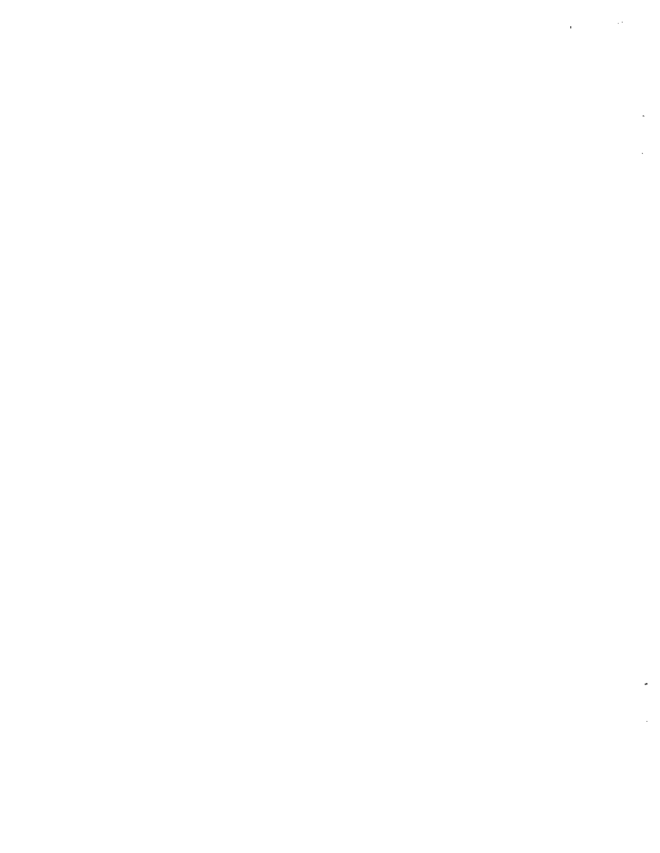$\mathbf{r}^{(1)}$  and  $\mathbf{r}^{(2)}$ 

 $\mathcal{L}^{(1)}$ 

k,

 $\hat{A}$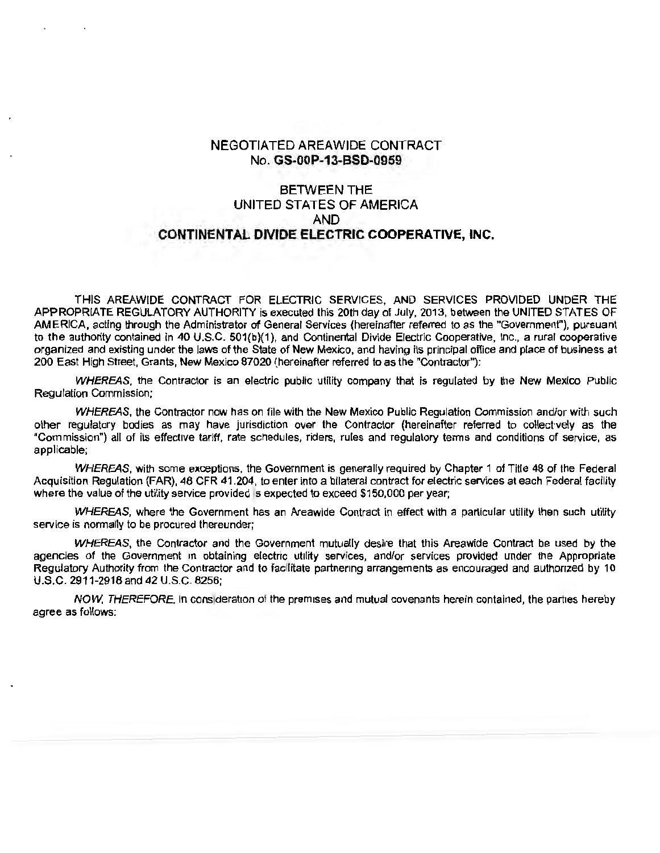### NEGOTIATED AREAWIDE CONTRACT No. GS-OOP-13-BSD-0959

## BETWEEN THE UNITED STATES OF AMERICA AND CONTINENTAL DIVIDE ELECTRIC COOPERATIVE, INC.

THIS AREAWIDE CONTRACT FOR ELECTRIC SERVICES, AND SERVICES PROVIDED UNDER THE APPROPRIATE REGULATORY AUTHORITY is executed this 20th day of July, 2013, between the UNITED STATES OF AMERICA, acting through the Administrator of General Services (hereinafter referred to as the "Government"), pursuant to the authority contained in 40 U.S.C. 501(b}(1 ), and Continental Divide Electric Cooperative, Inc., a rural cooperative organized and existing under the Jaws of the State of New Mexico, and having its principal office and place of business at 200 East High Street, Grants, New Mexico 87020 (hereinafter referred to as the "Contractor"):

WHEREAS, the Contractor is an electric public utility company that is regulated by the New Mexico Public Regulation Commission;

WHEREAS, the Contractor now has on file with the New Mexico Public Regulation Commission and/or with such other regulatory bodies as may have jurisdiction over the Contractor (hereinafter referred to collectively as the "Commission") all of its effective tariff, rate schedules, riders, rules and regulatory terms and conditions of service, as applicable;

WHEREAS, with some exceptions, the Government is generally required by Chapter 1 of Title 48 of the Federal Acquisition Regulation (FAR), 48 CFR 41 .204, to enter into a bilateral contract for electric services at each Federal facility where the value of the utility service provided is expected to exceed \$150,000 per year;

WHEREAS, where the Government has an Areawide Contract in effect with a particular utility then such utility service is normally to be procured thereunder;

WHEREAS, the Contractor and the Government mutually desire that this Areawide Contract be used by the agencies of the Government in obtaining electric utility services, and/or services provided under the Appropriate Regulatory Authority from the Contractor and to facilitate partnerlng arrangements as encouraged and authorized by 10 U.S.C. 2911-2918 and 42 U.S.C. 8256;

NOW, THEREFORE, in consideration of the premises and mutual covenants herein contained, the parties hereby agree as follows: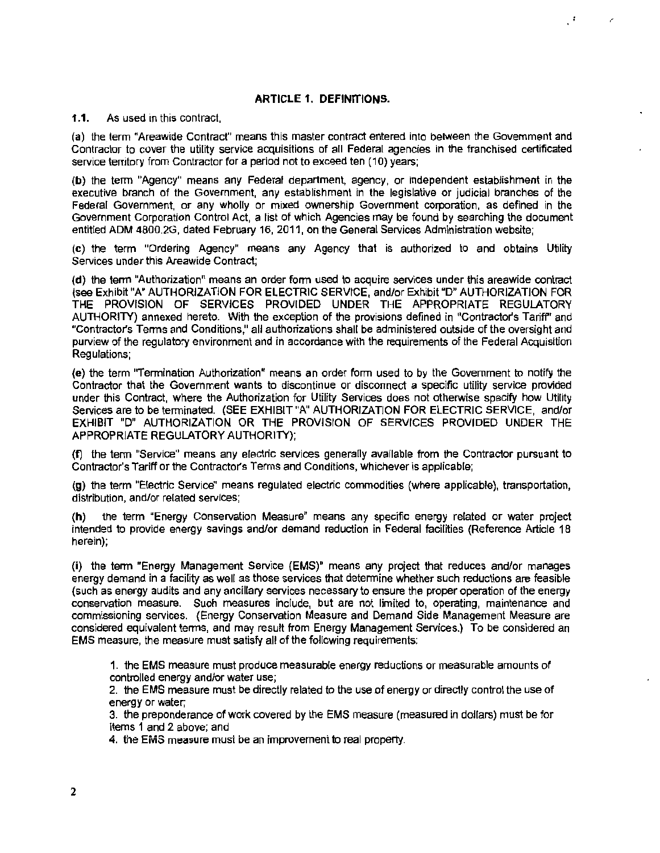#### ARTICLE 1. DEFINITIONS.

 $\epsilon$ 

1.1. As used in this contract,

(a) the term "Areawide Contract" means this master contract entered into between the Government and Contractor to cover the utility service acquisitions of all Federal agencies in the franchised certificated service territory from Contractor for a period not to exceed ten (10) years;

(b} the term "Agency" means any Federal department, agency, or independent establishment in the executive branch of the Government, any establishment in the legislative or judicial branches of the Federal Government, or any wholly or mixed ownership Government corporation, as defined in the Government Corporation Control Act, a list of which Agencies may be found by searching the document entitled ADM 4800.2G, dated February 16, 2011, on the General Services Administration website;

(c) the term "Ordering Agency" means any Agency that is authorized to and obtains Utility Services under this Areawide Contract;

(d} the term "Authorization" means an order form used to acquire services under this areawide contract (see Exhibit "A" AUTHORIZATION FOR ELECTRIC SERVICE, and/or Exhibit "D" AUTHORIZATION FOR THE PROVISION OF SERVICES PROVIDED UNDER THE APPROPRIATE REGULATORY AUTHORITY) annexed hereto. With the exception of the provisions defined in "Contractor's Tariff' and "Contractor's Terms and Conditions," all authorizations shall be administered outside of the oversight and purview of the regulatory environment and in accordance with the requirements of the Federal Acquisition Regulations;

(e) the term "Termination Authorization" means an order form used to by the Government to notify the Contractor that the Government wants to discontinue or disconnect a specific utility service provided under this Contract, where the Authorization for Utility Services does not otherwise specify how Utility Services are to be terminated. (SEE EXHIBIT "A" AUTHORIZATION FOR ELECTRIC SERVICE, and/or EXHIBIT "D" AUTHORIZATION OR THE PROVISION OF SERVICES PROVIDED UNDER THE APPROPRIATE REGULATORY AUTHORITY};

(f) the term "Service" means any electric services generally available from the Contractor pursuant to Contractor's Tariff or the Contractor's Terms and Conditions, wh ichever is applicable;

(g) the term "Electric Service" means regulated electric commodities (where applicable), transportation, distribution, and/or related services;

(h) the term "Energy Conservation Measure" means any specific energy related or water project intended to provide energy savings and/or demand reduction in Federal facilities (Reference Article 18 herein);

(i) the term "Energy Management Service (EMS)" means any project that reduces and/or manages energy demand in a facility as well as those services that determine whether such reductions are feasible (such as energy audits and any ancillary services necessary to ensure the proper operation of the energy conservation measure. Suoh measures include, but are not limited to, operating, maintenance and commissioning services. (Energy Conservation Measure and Demand Side Management Measure are considered equivalent terms, and may result from Energy Management Services.) To be considered an EMS measure, the measure must satisfy all of the following requirements:

1. the EMS measure must produce measurable energy reductions or measurable amounts of controlled energy and/or water use;

2. the EMS measure must be directly related to the use of energy or directly control the use of energy or water;

3. the preponderance ofwork covered by the EMS measure (measured in dollars) must be for Items 1 and 2 above; and

4. the EMS measure must be an improvement to real property.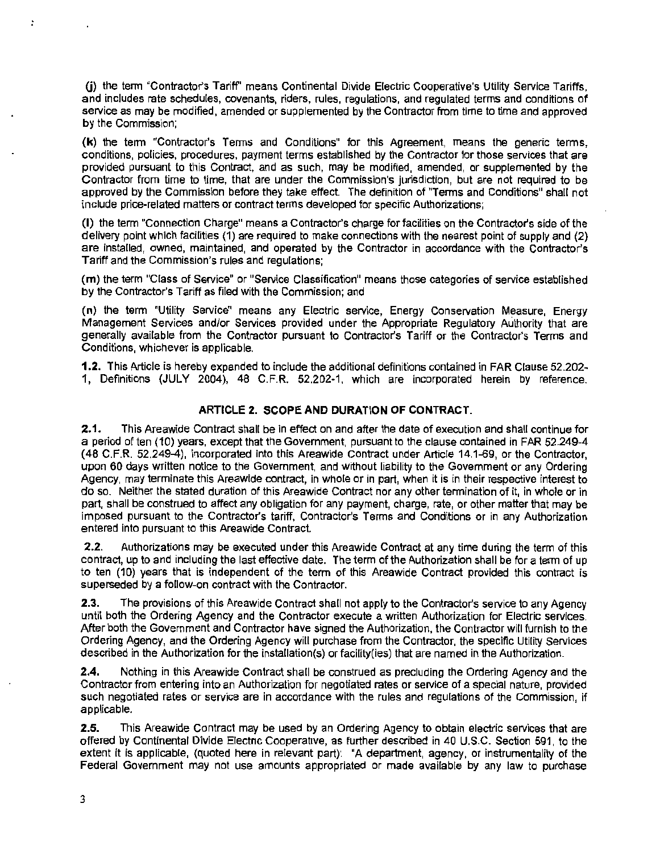(j) the term "Contractor's Tariff' means Continental Divide Electric Cooperative's Utility Service Tariffs, and includes rate schedules, covenants, riders, rules, regulations, and regulated terms and conditions of service as may be modified, amended or supplemented by the Contractor from time to time and approved by the Commission;

**(k)** the term "Contractor's Terms and Conditions" for this Agreement, means the generic terms, conditions, policies, procedures, payment terms established by the Contractor for those services that are provided pursuant to this Contract, and as such, may be modified, amended, or supplemented by the Contractor from time to time, that are under the Commission's jurisdiction, but are not required to be approved by the Commission before they take effect. The definition of "Terms and Conditions" shall not include price-related matters or contract terms developed for specific Authorizations;

(I) the term "Connection Charge" means a Contractor's charge for facilities on the Contractor's side of the delivery point which facilities (1) are required to make connections with the nearest point of supply and (2) are installed, owned, maintained, and operated by the Contractor in accordance with the Contractor's Tariff and the Commission's rules and regulations;

**(m)** the term "Class of Service" or "Service Classification" means those categories of service established by the Contractor's Tariff as filed with the Commission; and

**(n)** the term "Utility Service" means any Electric service, Energy Conservation Measure, Energy Management Services and/or Services provided under the Appropriate Regulatory Authority that are generally available from the Contractor pursuant to Contractor's Tariff or the Contractor's Terms and Conditions, whichever is applicable.

**1.2.** This Article is hereby expanded to include the additional definitions contained in FAR Clause 52.202 1, Definitions (JULY 2004), 48 C.F.R. 52.202-1, which are incorporated herein by reference.

#### **ARTICLE 2. SCOPE AND DURATION OF CONTRACT.**

**2.1.** This Areawide Contract shall be in effect on and after the date of execution and shall continue for a period of ten (10) years, except that the Government, pursuant to the clause contained in FAR 52.249-4 (48 C.F.R. 52.249-4), incorporated into this Areawide Contract under Article 14.1-69, or the Contractor, upon 60 days written notice to the Government, and without liability to the Government or any Ordering Agency, may terminate this Areawide contract, in whole or in part, when it is in their respective interest to do so. Neither the stated duration of this Areawide Contract nor any other termination of it, in whole or in part, shall be construed to affect any obligation for any payment, charge, rate, or other matter that may be imposed pursuant to the Contractor's tariff, Contractor's Terms and Conditions or in any Authorization entered into pursuant to this Areawide Contract.

**2.2.** Authorizations may be executed under this Areawide Contract at any time during the term of this contract, up to and including the last effective date. The term of the Authorization shall be for a term of up to ten (10) years that is independent of the term of this Areawide Contract provided this contract is superseded by a follow-on contract with the Contractor.

**2.3.** The provisions of this Areawide Contract shall not apply to the Contractor's service to any Agency until both the Ordering Agency and the Contractor execute a written Authorization for Electric services. After both the Government and Contractor have signed the Authorization, the Contractor will furnish to the Ordering Agency, and the Ordering Agency will purchase from the Contractor, the specific Utility Services described in the Authorization for the installation(s) or facility(ies) that are named in the Authorization.

**2.4.** Nothing in this Areawide Contract shall be construed as precluding the Ordering Agency and the Contractor from entering into an Authorization for negotiated rates or service of a special nature, provided such negotiated rates or service are in accordance with the rules and regulations of the Commission, if applicable.

**2.5.** This Areawide Contract may be used by an Ordering Agency to obtain electric services that are offered by Continental Divide Electnc Cooperattve, as further described in 40 U.S.C. Section 591 , to the extent it is applicable, {quoted here in relevant part): "A department, agency, or instrumentality of the Federal Government may not use amounts appropriated or made available by any law to purchase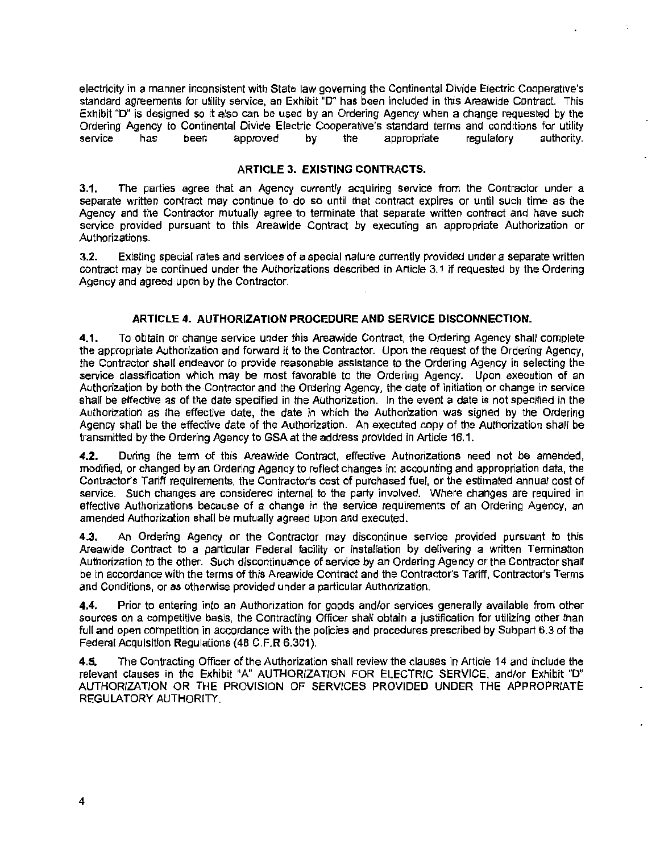electricity in a manner inconsistent with State law governing the Continental Divide Electric Cooperative's standard agreements for utility service, an Exhibit "D" has been included in this Areawide Contract. This Exhibit "D" is designed so it also can be used by an Ordering Agency when a change requested by the Ordering Agency to Continental Divide Electric Cooperative's standard terms and conditions for utility service<br>service has been approved by the appropriate regulatory authority. service has been approved by the appropriate regulatory authority.

#### ARTICLE 3. EXISTING CONTRACTS.

3.1. The parties agree that an Agency currently acquiring service from the Contractor under a separate written contract may continue to do so until that contract expires or until such time as the Agency and the Contractor mutually agree to terminate that separate written contract and have such service provided pursuant to this Areawide Contract by executing an appropriate Authorization or Authorizations.

3.2. Existing special rates and services of a special nature currently provided under a separate written contract may be continued under the Authorizations described in Article 3.1 if requested by the Ordering Agency and agreed upon by the Contractor.

### ARTICLE 4. AUTHORIZATION PROCEDURE AND SERVICE DISCONNECTION.

4.1 . To obtain or change service under this Areawide Contract, the Ordering Agency shall complete the appropriate Authorization and forward it to the Contractor. Upon the request of the Ordering Agency, the Contractor shall endeavor to provide reasonable assistance to the Ordering Agency in selecting the service classification which may be most favorable to the Ordering Agency. Upon execution of an Authorization by both the·Contractor and the Ordering Agency, the date of initiation or change in service shall be effective as of the date specified in the Authorization. In the event a date is not specified in the Authorization as the effective date, the date in which the Authorization was signed by the Ordering Agency shall be the effective date of the Authorization. An executed copy of the Authorization shall be transmitted by the Ordering Agency to GSA at the address provided in Article 16.1 .

4.2. During the term of this Areawide Contract, effective Authorizations need not be amended, modified, or changed by an Ordering Agency to reflect changes in: accounting and appropriation data, the Contractor's Tariff requirements, the Contractor's cost of purchased fuel, or the estimated annual cost of service. Such changes are considered internal to the party involved. Where changes are required in effective Authorizations because of a change in the service requirements of an Ordering Agency, an amended Authorization shall be mutually agreed upon and executed.

4.3. An Ordering Agency or the Contractor may discontinue service provided pursuant to this Areawide Contract to a particular Federal facility or installation by delivering a written Termination Authorization to the other. Such discontinuance of service by an Ordering Agency or the Contractor shall be in accordance with the terms of this Areawide Contract and the Contractor's Tariff, Contractor's Terms and Conditions, or as otherwise provided under a particular Authorization.

4.4. Prior to entering into an Authorization for goods and/or services generally available from other sources on a competitive basis, the Contracting Officer shall obtain a justification for utilizing other than full and open competition in accordance with the policies and procedures prescribed by Subpart 6.3 of the Federal Acquisition Regulations (48 C.F.R 6.301).

4.5. The Contracting Officer of the Authorization shall review the clauses in Article 14 and include the relevant clauses in the Exhibit "A" AUTHORIZATION FOR ELECTRIC SERVICE, and/or Exhibit "D" AUTHORIZATION OR THE PROVISION OF SERVICES PROVIDED UNDER THE APPROPRIATE REGULATORY AUTHORITY.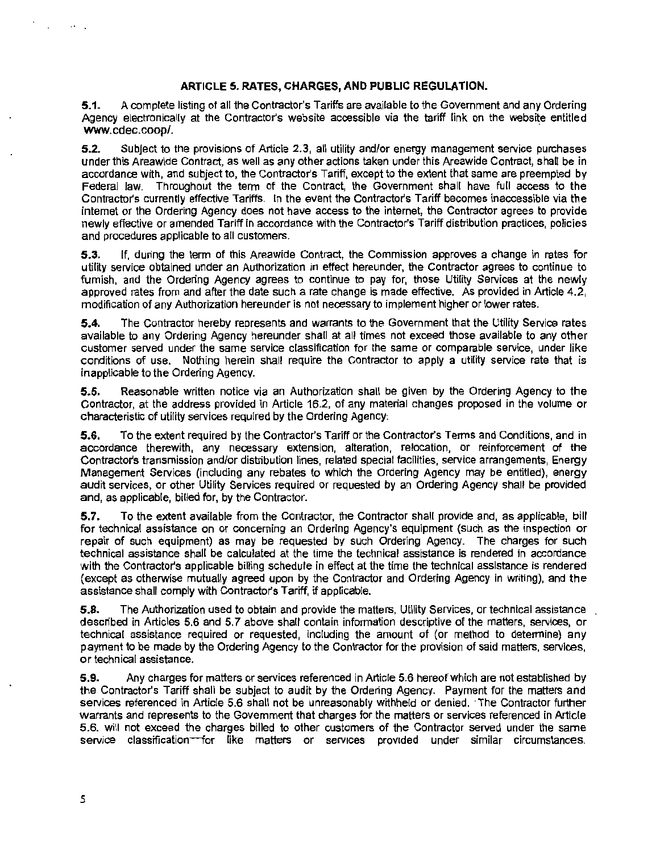#### **ARTICLE 5. RATES, CHARGES, AND PUBLIC REGULATION.**

**5.1.** A complete listing of all the Contractor's Tariffs are available to the Government and any Ordering Agency electronically at the Contractor's website accessible via the tariff link on the website entitled www.cdec.coop/.

**5.2.** Subject to the provisions of Article 2.3, all utility and/or energy management service purchases under this Areawide Contract, as well as any other actions taken under this Areawide Contract, shalt be in accordance with, and subject to, the Contractor's Tariff, except to the extent that same are preempted by Federal law. Throughout the term of the Contract, the Government shall have full access to the Contractor's currently effective Tariffs. In the event the Contractor's Tariff becomes inaccessible via the internet or the Ordering Agency does not have access to the internet, the Contractor agrees to provide newly effective or amended Tariff in accordance with the Contractor's Tariff distribution practices, policies and procedures applicable to all customers.

5.3. If, during the term of this Areawide Contract, the Commission approves a change in rates for utility service obtained under an Authorization in effect hereunder, the Contractor agrees to continue to furnish, and the Ordering Agency agrees to continue to pay for, those Utility Services at the newly approved rates from and after the date such a rate change is made effective. As provided in Article 4.2, modification of any Authorization hereunder is not necessary to implement higher or lower rates.

**5.4.** The Contractor hereby represents and warrants to the Government that the Utility Service rates available to any Ordering Agency hereunder shall at all times not exceed those available to any other customer served under the same service classification for the same or comparable service, under like conditions of use. Nothing herein shall require the Contractor to apply a utility service rate that is inapplicable to the Ordering Agency.

**5.5.** Reasonable written notice via an Authorization shall be given by the Ordering Agency to the Contractor, at the address provided in Article 16.2, of any material changes proposed in the volume or characteristic of utility services required by the Ordering Agency:

**5.6.** To the extent required by the Contractor's Tariff or the Contractor's Terms and Conditions, and in accordance therewith, any necessary extension, alteration, relocation, or reinforcement of the Contractor's transmission and/or distribution lines, related special facilities, service arrangements, Energy Management Services (including any rebates to which the Ordering Agency may be entitled), energy audit services, or other Utility Services required or requested by an Ordering Agency shall be provided and, as applicable, billed for, by the Contractor.

5.7. To the extent available from the Contractor, the Contractor shall provide and, as applicable, bill for technical assistance on or concerning an Ordering Agency's equipment (such as the inspection or repair of such equipment) as may be requested by such Ordering Agency. The charges for such technical assistance shall be calculated at the time the technical assistance is rendered in accordance with the Contractor's applicable billing schedule in effect at the time the technical assistance is rendered (except as otherwise mutually agreed upon by the Contractor and Ordering Agency in writing), and the assistance shall comply with Contractor's Tariff, if applicable.

**5.8.** The Authorization used to obtain and provide the matters, Utility Services, or technical assistance described in Articles 5.6 and 5.7 above shall contain information descriptive of the matters, services, or technical assistance required or requested, including the amount of (or method to determine) any payment to be made by the Ordering Agency to the Contractor for the provision of said matters, services, or technical assistance.

**5.9.** Any charges for matters or services referenced in Article 5.6 hereof which are not established by the Contractor's Tariff shall be subject to audit by the Ordering Agency. Payment for the matters and services referenced in Article 5.6 shall not be unreasonably withheld or denied. ·The Contractor further warrants and represents to the Government that charges for the matters or services referenced in Article 5.6. will not exceed the charges billed to other customers of the Contractor served under the same service classification<sup>---</sup>for like matters or services provided under similar circumstances.

*:·*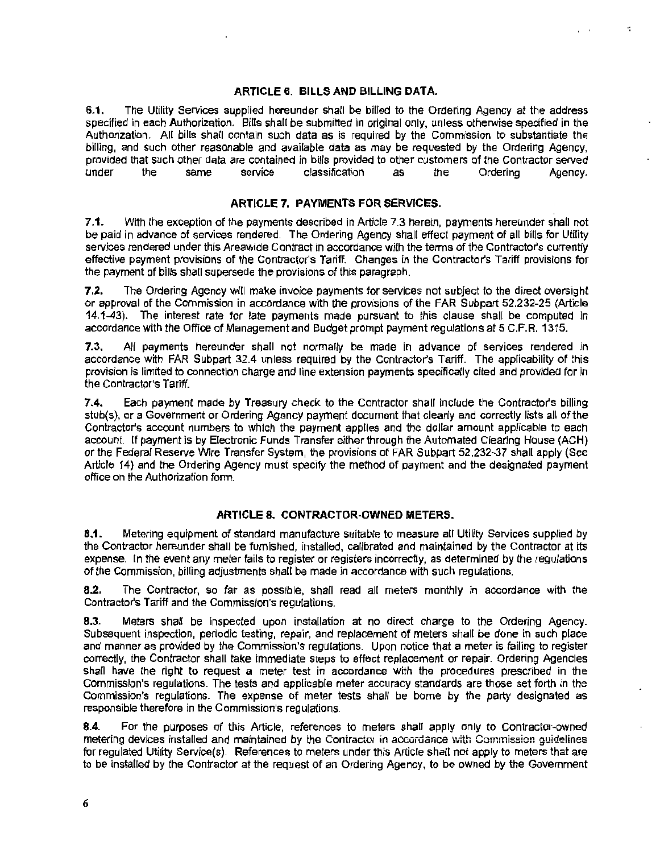#### **ARTICLE 6. BILLS AND BILLING DATA.**

. ..

k.

6.1. The Utility Services supplied hereunder shall be billed to the Ordering Agency at the address specified in each Authorization. Bills shall be submitted in original only, unless otherwise specified in the Authorization. All bills shall contain such data as is required by the Commission to substantiate the billing, and such other reasonable and available data as may be requested by the Ordering Agency, provided that such other data are contained in bills provided to other customers of the Contractor served classification as the Ordering Agency.

#### **ARTICLE 7. PAYMENTS FOR SERVICES.**

**7.1.** With the exception of the payments described in Article 7.3 herein, payments hereunder shall not be paid in advance of services rendered. The Ordering Agency shall effect payment of all bills for Utility services rendered under this Areawide Contract in accordance with the terms of the Contractor's currently effective payment provisions of the Contractor's Tariff. Changes in the Contractor's Tariff provisions for the payment of bills shall supersede the provisions of this paragraph.

**7.2.** The Ordering Agency will make invoice payments for services not subject to the direct oversight or approval of the Commission in accordance with the provisions of the FAR Subpart 52.232-25 (Article 14.1-43). The interest rate for late payments made pursuant to this clause shall be computed ln accordance with the Office of Management and Budget prompt payment regulations at 5 C.F.R. 1315.

7.3. All payments hereunder shall not normally be made in advance of services rendered in accordance with FAR Subpart 32.4 unless required by the Contractor's Tariff. The applicability of this provision is limited to connection charge and line extension payments specifically cited and provided for in the Contractor's Tariff.

**7.4.** Each payment made by Treasury check to the Contractor shall include the Contractor's billing stub(s), or a Government or Ordering Agency payment document that clearly and correctly lists all of the Contractor's account numbers to which the payment applies and the dollar amount applicable to each account. If payment is by Electronic Funds Transfer either through the Automated Clearing House (ACH) or the Federal Reserve Wire Transfer System, the provisions of FAR Subpart 52.232-37 shall apply (See Article 14} and the Ordering Agency must specify the method of payment and the designated payment office on the Authorization form.

#### **ARTICLE 8. CONTRACTOR-OWNED METERS.**

**8.1.** Metering equipment of standard manufacture suitable to measure all Utility Services supplied by the Contractor hereunder shall be furnished, installed, calibrated and maintained by the Contractor at its expense. In the event any meter fails to register or registers incorrectly, as determined by the regulations of the Commission, billing adjustments shall be made in accordance with such regulations.

**8.2.** The Contractor, so far as possible, shall read all meters monthly in accordance with the Contractor's Tariff and the Commission's regulations.

**8.3.** Meters shall be inspected upon installation at no direct charge to the Ordering Agency. Subsequent inspection, periodic testing, repair, and replacement of meters shall be done in such place and manner as provided by the Commission's regulations. Upon notice that a meter is failing to register correctly, the Contractor shall take immediate steps to effect replacement or repair. Ordering Agencies shall have the right to request a meter test in accordance with the procedures prescribed in the Commission's regulations. The tests and applicable meter accuracy standards are those set forth in the Commission's regulations. The expense of meter tests shall be borne by the party designated as responsible therefore in the Commission's regulations.

**8.4.** For the purposes of this Article, references to meters shall apply only to Contractor-owned metering devices installed and maintained by the Contractor in accordance with Commission guidelines for regulated Utility Service(s). References to meters under this Article shall not apply to meters that are to be installed by the Contractor at the request of an Ordering Agency, to be owned by the Government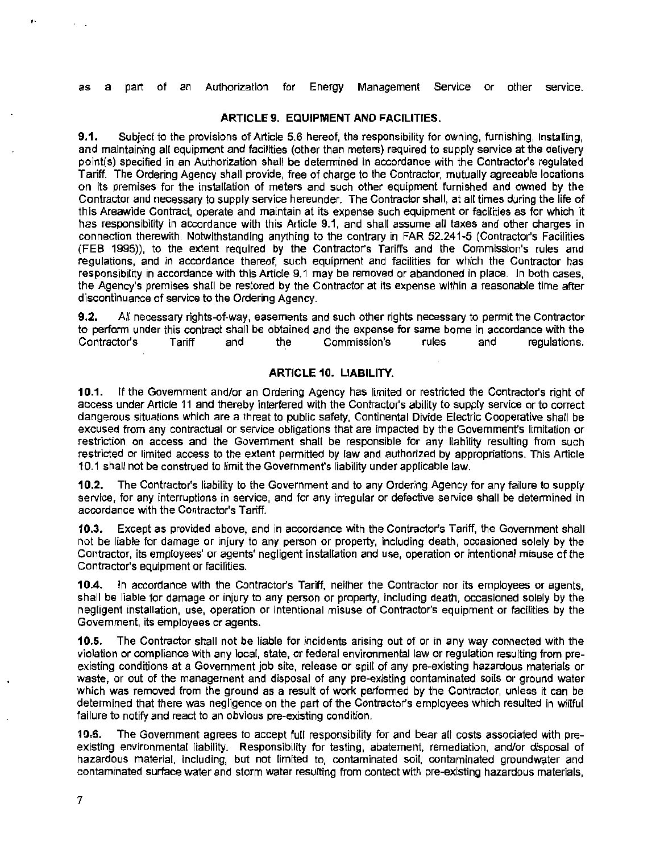as a part of an Authorization for Energy Management Service or other service.

#### ARTICLE 9. EQUIPMENT AND FACILITIES.

9.1. Subject to the provisions of Article 5.6 hereof, the responsibility for owning, furnishing, installing, and maintaining all equipment and facilities (other than meters) required to supply service at the delivery point(s) specified in an Authorization shall be determined in accordance with the Contractor's regulated Tariff. The Ordering Agency shall provide, free of charge to the Contractor, mutually agreeable locations on its premises for the installation of meters and such other equipment furnished and owned by the Contractor and necessary to supply service hereunder. The Contractor shall, at all times during the life of this Areawide Contract, operate and maintain at its expense such equipment or facilities as for which it has responsibility in accordance with this Article 9.1, and shall assume all taxes and other charges in connection therewith. Notwithstanding anything to the contrary in FAR 52.241-5 (Contractor's Facilities (FEB 1995)), to the extent required by the Contractor's Tariffs and the Commission's rules and regulations, and in accordance thereof, such equipment and facilities for which the Contractor has responsibility in accordance with this Article 9.1 may be removed or abandoned in place. In both cases, the Agency's premises shall be restored by the Contractor at its expense within a reasonable time after discontinuance of service to the Ordering Agency.

9.2. All necessary rights-of-way, easements and such other rights necessary to permit the Contractor to perform under this contract shall be obtained and the expense for same borne in accordance with the Contractor's Tariff and the Commission's rules and regulations. Tariff and the Commission's rules and regulations.

### ARTICLE 10. LIABILITY.

10.1. If the Government and/or an Ordering Agency has limited or restricted the Contractor's right of access under Article 11 and thereby interfered with the Contractor's ability to supply service or to correct dangerous situations which are a threat to public safety, Continental Divide Electric Cooperative shall be excused from any contractual or service obligations that are impacted by the Government's limitation or restriction on access and the Government shall be responsible for any liability resulting from such restricted or limited access to the extent permitted by law and authorized by appropriations. This Article 10.1 shall not be construed to limit the Government's liability under applicable law.

10.2. The Contractor's liability to the Government and to any Ordering Agency for any failure to supply service, for any interruptions in service, and for any irregular or defective service shall be determined in accordance with the Contractor's Tariff.

10.3. Except as provided above, and in accordance with the Contractor's Tariff, the Government shall not be liable for damage or injury to any person or property, including death, occasioned solely by the Contractor, its employees' or agents' negligent installation and use, operation or intentional misuse of the Contractor's equipment or facilities.

10.4. In accordance with the Contractor's Tariff, neither the Contractor nor its employees or agents, shall be liable for damage or injury to any person or property, including death, occasioned solely by the negligent installation, use, operation or intentional misuse of Contractor's equipment or facirlties by the Government, its employees or agents.

10.5. The Contractor shall not be liable for incidents arising out of or in any way connected with the violation or compliance with any local, state, or federal environmental law or regulation resulting from preexisting conditions at a Government job site, release or spill of any pre-existing hazardous materials or waste, or out of the management and disposal of any pre-existing contaminated soils or ground water which was removed from the ground as a result of work performed by the Contractor, unless it can be determined that there was negligence on the part of the Contractor's employees which resulted in willful failure to notify and react to an obvious pre-existing condition.

10.6. The Government agrees to accept full responsibility for and bear all costs associated with preexisting environmental liability. Responsibility for testing, abatement, remediation, and/or disposal of hazardous material, including, but not limited to, contaminated soil, contaminated groundwater and contaminated surface water and storm water resulting from contect with pre-existing hazardous materials,

,.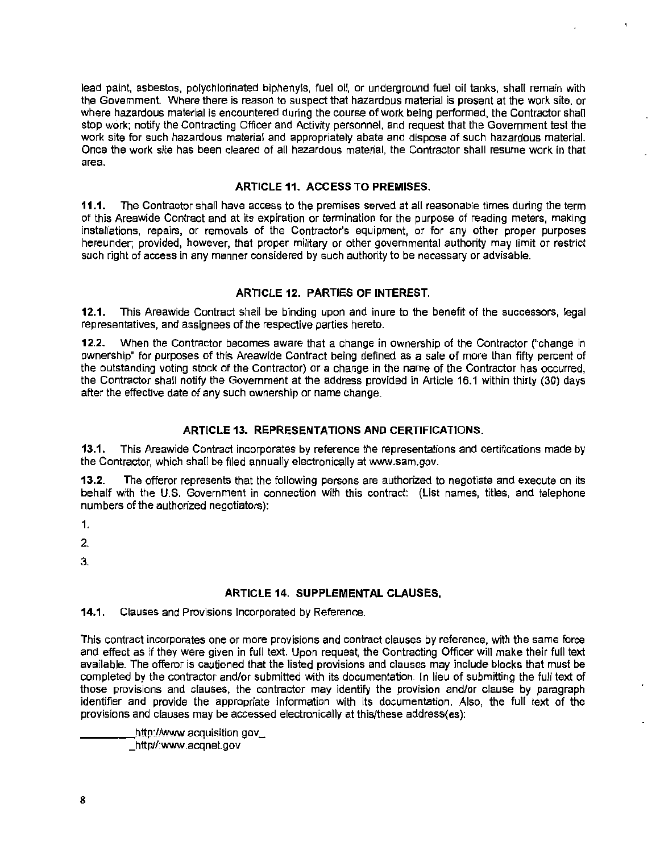lead paint, asbestos, polychlorinated biphenyls, fuel oil, or underground fuel oil tanks, shall remain with the Government. Where there is reason to suspect that hazardous material is present at the work site, or where hazardous material is encountered during the course of work being performed, the Contractor shall stop work; notify the Contracting Officer and Activity personnel, and request that the Government test the work site for such hazardous material and appropriately abate and dispose of such hazardous material. Once the work site has been cleared of all hazardous material, the Contractor shall resume work in that area.

..

#### ARTICLE 11. ACCESS TO PREMISES.

11.1. The Contractor shall have access to the premises served at all reasonable times during the term of this Areawide Contract and at its expiration or termination for the purpose of reading meters, making installations, repairs, or removals of the Contractor's equipment, or for any other proper purposes hereunder; provided, however, that proper military or other governmental authority may limit or restrict such right of access in any manner considered by such authority to be necessary or advisable.

#### ARTICLE 12. PARTIES OF INTEREST.

12.1. This Areawide Contract shall be binding upon and inure to the benefit of the successors, legal representatives, and assignees of the respective parties hereto.

12.2. When the Contractor becomes aware that a change in ownership of the Contractor ("change in ownership" for purposes of this Areawide Contract being defined as a sale of more than fifty percent of the outstanding voting stock of the Contractor) or a change in the name of the Contractor has occurred, the Contractor shall notify the Government at the address provided in Article 16.1 within thirty (30) days after the effective date of any such ownership or name change.

#### ARTICLE 13. REPRESENTATIONS AND CERTIFICATIONS.

13.1. This Areawide Contract Incorporates by reference the representations and certifications made by the Contractor, which shall be filed annually electronically at www.sam.gov.

13.2. The offeror represents that the following persons are authorized to negotiate and execute on its behalf with the U.S. Government in connection with this contract: (List names, titles, and telephone numbers of the authorized negotiators):

- 1.
- 2.

3.

#### ARTICLE 14. SUPPLEMENTAL CLAUSES.

14.1. Clauses and Provisions Incorporated by Reference.

This contract incorporates one or more provisions and contract clauses by reference, with the same force and effect as if they were given in full text. Upon request, the Contracting Officer will make their full text available. The offeror is cautioned that the listed provisions and clauses may include blocks that must be completed by the contractor and/or submitted with its documentation. In lieu of submitting the full text of those provisions and clauses, the contractor may identify the provision and/or clause by paragraph identifier and provide the appropriate information with its documentation. Also, the full text of the provisions and clauses may be accessed electronically at thiS/these address(es):

http://www.acquisition.gov \_http//:www.acqnet.gov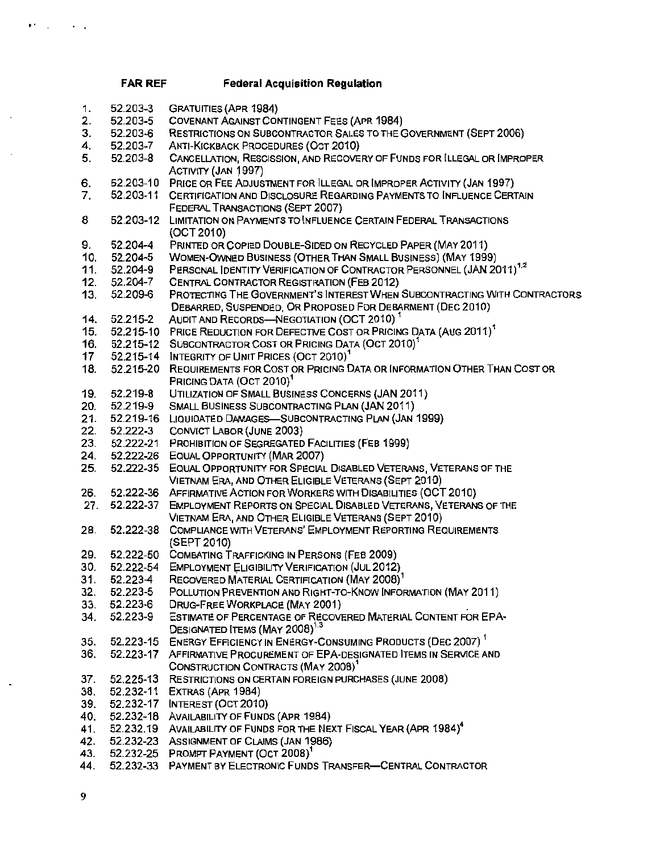|     | <b>FAR REF</b> | Federal Acquisition Regulation                                                                                           |
|-----|----------------|--------------------------------------------------------------------------------------------------------------------------|
| 1.  | 52.203-3       | <b>GRATUITIES (APR 1984)</b>                                                                                             |
| 2.  | 52.203-5       | COVENANT AGAINST CONTINGENT FEES (APR 1984)                                                                              |
| З.  | 52.203-6       | RESTRICTIONS ON SUBCONTRACTOR SALES TO THE GOVERNMENT (SEPT 2006)                                                        |
| 4.  | 52.203-7       | ANTI-KICKBACK PROCEDURES (OCT 2010)                                                                                      |
| 5.  | 52.203-8       | CANCELLATION, RESCISSION, AND RECOVERY OF FUNDS FOR ILLEGAL OR IMPROPER                                                  |
|     |                | ACTIVITY (JAN 1997)                                                                                                      |
| 6.  | 52.203-10      | PRICE OR FEE ADJUSTMENT FOR ILLEGAL OR IMPROPER ACTIVITY (JAN 1997)                                                      |
| 7.  | 52.203-11      | CERTIFICATION AND DISCLOSURE REGARDING PAYMENTS TO INFLUENCE CERTAIN                                                     |
|     |                | FEDERAL TRANSACTIONS (SEPT 2007)                                                                                         |
| 8   | 52.203-12      | LIMITATION ON PAYMENTS TO INFLUENCE CERTAIN FEDERAL TRANSACTIONS                                                         |
|     |                | (OCT 2010)                                                                                                               |
| 9.  | 52.204-4       | PRINTED OR COPIED DOUBLE-SIDED ON RECYCLED PAPER (MAY 2011)                                                              |
| 10. | 52.204-5       | WOMEN-OWNED BUSINESS (OTHER THAN SMALL BUSINESS) (MAY 1999)                                                              |
| 11. | 52.204-9       | PERSONAL IDENTITY VERIFICATION OF CONTRACTOR PERSONNEL (JAN 2011) <sup>1,2</sup>                                         |
| 12. | 52,204-7       | CENTRAL CONTRACTOR REGISTRATION (FEB 2012)                                                                               |
| 13. | 52.209-6       | PROTECTING THE GOVERNMENT'S INTEREST WHEN SUBCONTRACTING WITH CONTRACTORS                                                |
|     |                | DEBARRED, SUSPENDED, OR PROPOSED FOR DEBARMENT (DEC 2010)                                                                |
| 14. | 52.215-2       | AUDIT AND RECORDS-NEGOTIATION (OCT 2010) <sup>1</sup>                                                                    |
| 15. |                | 52.215-10 PRICE REDUCTION FOR DEFECTIVE COST OR PRICING DATA (AUG 2011) <sup>1</sup>                                     |
| 16. | 52.215-12      | SUBCONTRACTOR COST OR PRICING DATA (OCT 2010) <sup>1</sup>                                                               |
| 17  |                | 52.215-14 INTEGRITY OF UNIT PRICES (OCT 2010)<br>REQUIREMENTS FOR COST OR PRICING DATA OR INFORMATION OTHER THAN COST OR |
| 18. | 52.215-20      | PRICING DATA (OCT 2010) <sup>1</sup>                                                                                     |
| 19. | 52.219-8       | UTILIZATION OF SMALL BUSINESS CONCERNS (JAN 2011)                                                                        |
| 20. | 52.219-9       | SMALL BUSINESS SUBCONTRACTING PLAN (JAN 2011)                                                                            |
| 21. | 52.219-16      | LIQUIDATED DAMAGES-SUBCONTRACTING PLAN (JAN 1999)                                                                        |
| 22. | 52.222-3       | CONVICT LABOR (JUNE 2003)                                                                                                |
| 23. | 52.222-21      | PROHIBITION OF SEGREGATED FACILITIES (FEB 1999)                                                                          |
| 24. | 52.222-26      | EQUAL OPPORTUNITY (MAR 2007)                                                                                             |
| 25. | 52.222-35      | EQUAL OPPORTUNITY FOR SPECIAL DISABLED VETERANS, VETERANS OF THE                                                         |
|     |                | VIETNAM ERA, AND OTHER ELIGIBLE VETERANS (SEPT 2010)                                                                     |
| 26. |                | 52.222-36 AFFIRMATIVE ACTION FOR WORKERS WITH DISABILITIES (OCT 2010)                                                    |
| 27. | 52.222-37      | EMPLOYMENT REPORTS ON SPECIAL DISABLED VETERANS, VETERANS OF THE                                                         |
|     |                | VIETNAM ERA, AND OTHER ELIGIBLE VETERANS (SEPT 2010)                                                                     |
| 28. |                | 52.222-38 COMPLIANCE WITH VETERANS' EMPLOYMENT REPORTING REQUIREMENTS                                                    |
|     |                | (SEPT 2010)                                                                                                              |
| 29. | 52.222-50      | <b>COMBATING TRAFFICKING IN PERSONS (FEB 2009)</b>                                                                       |
| 30. | 52.222-54      | EMPLOYMENT ELIGIBILITY VERIFICATION (JUL 2012)                                                                           |
| 31. | 52.223-4       | RECOVERED MATERIAL CERTIFICATION (MAY 2008) <sup>1</sup>                                                                 |
| 32. | 52.223-5       | POLLUTION PREVENTION AND RIGHT-TO-KNOW INFORMATION (MAY 2011)                                                            |
| 33. | 52.223-6       | DRUG-FREE WORKPLACE (MAY 2001)<br>ESTIMATE OF PERCENTAGE OF RECOVERED MATERIAL CONTENT FOR EPA-                          |
| 34. | 52.223-9       | DESIGNATED ITEMS (MAY 2008) <sup>1.3</sup>                                                                               |
| 35. |                | 52.223-15 ENERGY EFFICIENCY IN ENERGY-CONSUMING PRODUCTS (DEC 2007) <sup>1</sup>                                         |
| 36. |                | 52.223-17 AFFIRMATIVE PROCUREMENT OF EPA-DESIGNATED ITEMS IN SERVICE AND                                                 |
|     |                | CONSTRUCTION CONTRACTS (MAY 2008) <sup>1</sup>                                                                           |
| 37. |                | 52,225-13 RESTRICTIONS ON CERTAIN FOREIGN PURCHASES (JUNE 2008)                                                          |
| 38. |                | 52.232-11 EXTRAS (APR 1984)                                                                                              |
| 39. |                | 52.232-17 INTEREST (OCT 2010)                                                                                            |
| 40. |                | 52.232-18 AVAILABILITY OF FUNDS (APR 1984)                                                                               |
| 41. |                | 52.232.19 AVAILABILITY OF FUNDS FOR THE NEXT FISCAL YEAR (APR 1984) <sup>4</sup>                                         |
| 42. |                | 52.232-23 ASSIGNMENT OF CLAIMS (JAN 1986)                                                                                |
| 43. |                | 52.232-25 PROMPT PAYMENT (OCT 2008)                                                                                      |
| 44. |                | 52.232-33 PAYMENT BY ELECTRONIC FUNDS TRANSFER-CENTRAL CONTRACTOR                                                        |

 $\ddot{\cdot}$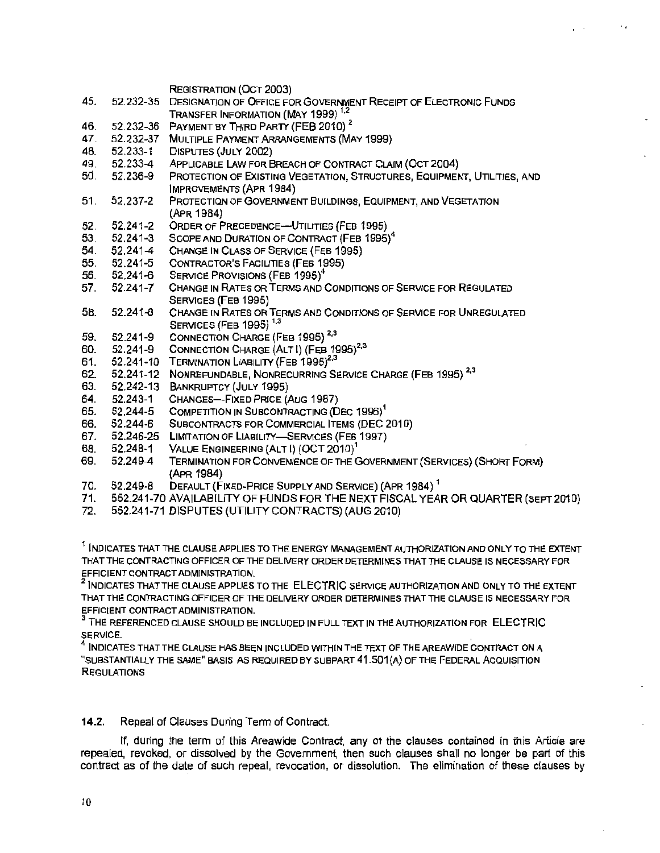45. 52.232-35 DESIGNATION OF OFFICE FOR GOVERNMENT RECEIPT OF ELECTRONIC FUNDS 46. 52.232-36 PAYMENT BY THIRD PARTY (FEB 2010)<sup>2</sup> REGISTRATION (OCT 2003) Transfer Information (May 1999)  $^{1.2}$ 

0.

- 47. 52.232-37 MULTIPLE PAYMENT ARRANGEMENTS (MAY 1999)
- 48. 52.233-1 DISPUTES (JULY 2002)
- 49. 52.233-4 APPLICABLE lAW FOR BREACH OF CONTRACT CLAIM (OCT 2004)
- 5d. 52.236-9 PROTECTION OF EXISTING VEGETATION, STRUCTURES, EQUIPMENT, UTILITIES, AND IMPROVEMENTS (APR 1984)
- 51. 52.237-2 PROTECTION OF GOVERNMENT BUILDINGS, EQUIPMENT, AND VEGETATION (APR 1984)
- 52. 52.241-2 ORDER OF PRECEDENCE-UTILITIES (FEB 1995)
- 53. 52.241-3 SCOPE AND DURATION OF CONTRACT (FEB 1995)<sup>4</sup>
- 54. 52.241-4 CHANGE IN CLASS OF SERVICE (FEB 1995)
- CONTRACTOR'S FACILITIES (FEB 1995)
- 55. 52.241-5 56. 52.241-6 SERVICE PROVISIONS (FEB 1995)<sup>4</sup>
- 57. 52.241-7 CHANGE IN RATES OR TERMS AND CONDITIONS OF SERVICE FOR REGULATED SERVICES (FEB 1995)
- 58. 52.241-8 CHANGE IN RATES OR TERMS AND CONDITIONS OF SERVICE FOR UNREGULATED SERVICES (FEB 1995) <sup>1,3</sup>
- 59. 52.241-9 CONNECTION CHARGE (FEB 1995)<sup>2,3</sup>
- 60. 52.241-9 CONNECTION CHARGE (ALT I) (FEB 1995)<sup>2,3</sup>
- 61. 52.241-10 TERMINATION LIABILITY (FEB 1995)<sup>2.3</sup>
- 62. 52.241-12 NONREFUNDABLE, NONRECURRING SERVICE CHARGE (FEB 1995)<sup>2,3</sup>
- 63. 52.242-13 BANKRUPTCY (JULY 1995)
- 64. 52.243-1 CHANGES-FIXED PRICE (AUG 1987)
- 65. 52.244-5 COMPETITION IN SUBCONTRACTING (DEC 1996)<sup>1</sup>
- 66. 52.244-6 SUBCONTRACTS FOR COMMERCIAL ITEMS (DEC 2010)
- 67. 52.246-25 LIMITATION OF LIABILITY-5ERVICES (FEB 1997)
- 68. 52.248-1 VALUE ENGINEERING (ALTI) (OCT 2010)<sup>1</sup>
- 69. 52.249-4 TERMINATION FOR CONVENIENCE OF THE GOVERNMENT (SERVICES) (SHORT FORM) (APR 1984)
- 70. 52.249-8 DEFAULT (FIXED-PRICE SUPPLY AND SERVICE) (APR 1984)<sup>1</sup>
- 71. 552.241-70 AVAILABILITY OF FUNDS FOR THE NEXT FISCAL YEAR OR QUARTER (SEPT2010)
- 72. 552.241-71 DISPUTES (UTILITY CONTRACTS) (AUG 2010)

 $^{\text{1}}$  INDICATES THAT THE CLAUSE APPLIES TO THE ENERGY MANAGEMENT AUTHORIZATION AND ONLY TO THE EXTENT THAT THE CONTRACTING OFFICER OF THE DELIVERY ORDER DETERMINES THAT THE CLAUSE IS NECESSARY FOR EFFICIENT CONTRACT ADMINISTRATION.

2 INDICATES THAT THE CLAUSE APPLIES TO THE ELECTRIC SERVICE AUTHORIZATION AND ONLY TO THE EXTENT THAT THE CONTRACTING OFFICER OF THE DELIVERY ORDER DETERMINES THAT THE CLAUSE IS NECESSARY FOR

EFFICIENT CONTRACT ADMINISTRATION.<br><sup>3</sup> The Referenced clause should be included in full text in the authorization for ELECTRIC

SERVICE.<br><sup>4</sup> INDICATES THAT THE CLAUSE HAS BEEN INCLUDED WITHIN THE TEXT OF THE AREAWIDE CONTRACT ON A "SUBSTANTIALLY THE SAME" BASIS AS REQUIRED BY SUBPART 41.501(A) OF THE FEDERAL ACQUISITION **REGULATIONS** 

#### **14.2.** Repeal of Clauses During Term of Contract.

If, during the term of this Areawide Contract, any ot the clauses contained in this Articie are repealed, revoked, or dissolved by the Government, then such clauses shall no longer be part of this contract as of the date of such repeal, revocation, or dissolution. The elimination of these clauses by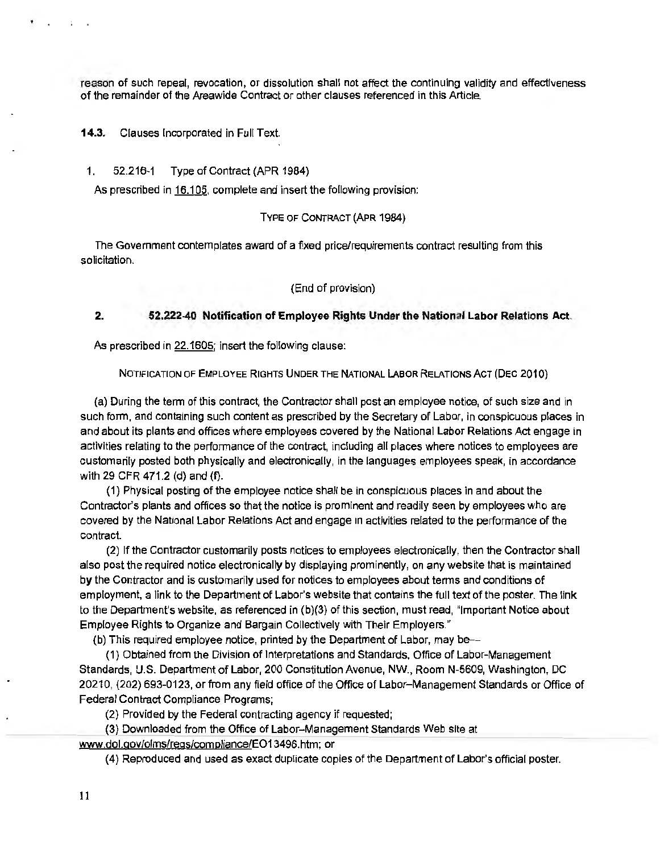reason of such repeal, revocation, or dissolution shall not affect the continuing validity and effectiveness of the remainder of the Areawide Contract or other clauses referenced in this Article.

**14.3.** Clauses Incorporated in Full Text.

#### 1. 52.216-1 Type of Contract (APR 1984)

As prescribed in 16.105, complete and insert the following provision:

#### TYPE OF CONTRACT (APR 1984)

The Government contemplates award of a fixed price/requirements contract resulting from this solicitation.

#### (End of provision)

#### **2. 52.222-40 Notification of Employee Rights Under the National Labor Relations Act.**

As prescribed in 22.1605; insert the following clause:

#### NOTIFICATION OF EMPLOYEE RIGHTS UNDER THE NATIONAL LABOR RELATIONS ACT (DEC 2010)

(a) During the term of this contract, the Contractor shall post an employee notice, of such size and in such form, and containing such content as prescribed by the Secretary of Labor, in conspicuous places in and about its plants and offices where employees covered by the National Labor Relations Act engage in activities relating to the performance of the contract, including all places where notices to employees are customarily posted both physically and electronically, in the languages employees speak, in accordance with 29 CFR 471.2 (d) and (f).

(1) Physical posting of the employee notice shall be in conspicuous places in and about the Contractor's plants and offices so that the notice is prominent and readily seen by employees who are covered by the National Labor Relations Act and engage in activities related to the performance of the contract.

(2) If the Contractor customarily posts notices to employees electronically, then the Contractor shall also post the required notice electronically by displaying prominently, on any website that is maintained by the Contractor and is customarily used for notices to employees about terms and conditions of employment, a link to the Department of Labor's website that contains the full text of the poster. The link to the Department's website, as referenced in (b)(3) of this section, must read, "Important Notice about Employee Rights to Organize and Bargain Collectively with Their Employers."

(b) This required employee notice, printed by the Department of Labor, may be

(1) Obtained from the Division of Interpretations and Standards, Office of Labor-Management Standards, U.S. Department of Labor, 200 Constitution Avenue, NW., Room N-5609, Washington, DC 20210, (202) 693-0123, or from any field office of the Office of Labor-Management Standards or Office of Federal Contract Compliance Programs;

(2) Provided by the Federal contracting agency if requested;

(3) Downloaded from the Office of Labor-Management Standards Web site at

www.dol.gov/olms/reqs/compliance/E013496.htm; or

(4) Reproduced and used as exact duplicate copies of the Department of Labor's official poster.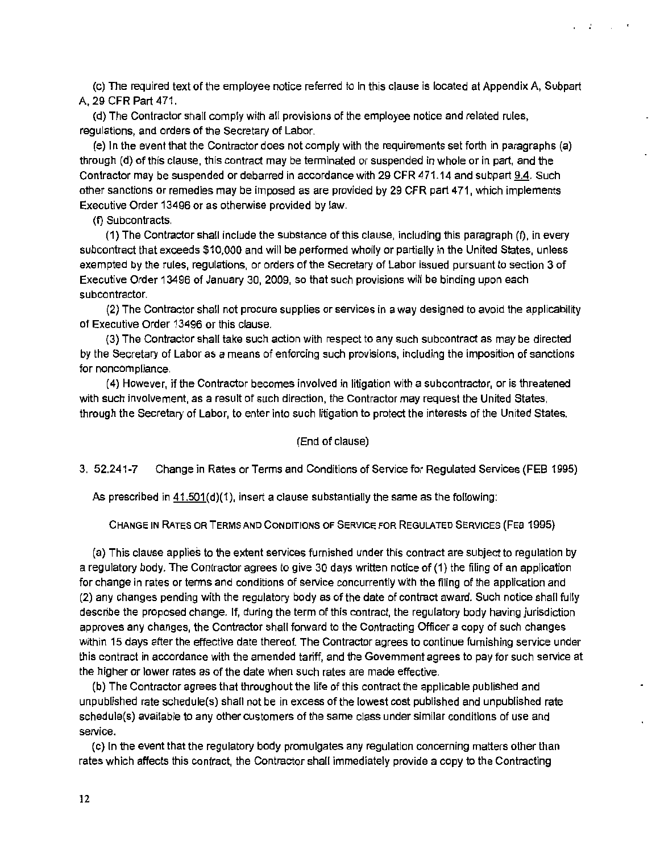(c) The required text of the employee notice referred to in this clause is located at Appendix A, Subpart A, 29 CFR Part 471.

and the state of the

(d) The Contractor shall comply with a!l provisions of the employee notice and related rules, regulations, and orders of the Secretary of Labor.

(e) In the event that the Contractor does not comply with the requirements set forth in paragraphs (a) through (d) of this clause, this contract may be terminated or suspended in whole or in part, and the Contractor may be suspended or debarred in accordance with 29 CFR 471.14 and subpart 9.4. Such other sanctions or remedies may be imposed as are provided by 29 CFR part 471, which implements Executive Order 13496 or as otherwise provided by law.

(f) Subcontracts.

(1) The Contractor shall include the substance of this clause, including this paragraph (f), in every subcontract that exceeds \$10,000 and will be performed wholly or partially in the United States, unless exempted by the rules, regulations, or orders of the Secretary of Labor issued pursuant to section 3 of Executive Order 13496 of January 30, 2009, so that such provisions will be binding upon each subcontractor.

(2) The Contractor shall not procure supplies or services in a way designed to avoid the applicability of Executive Order 13496 or this clause.

(3) The Contractor shall take such action with respect to any such subcontract as may be directed by the Secretary of Labor as a means of enforcing such provisions, including the imposition of sanctions for noncompliance.

(4) However, if the Contractor becomes involved in litigation with a subcontractor, or is threatened with such involvement, as a result of such direction, the Contractor may request the United States, through the Secretary of Labor, to enter into such litigation to protect the interests of the United States.

#### (End of clause)

3. 52.241-7 Change in Rates or Terms and Conditions of Service for Regulated Services (FEB 1995)

As prescribed in  $41,501(d)(1)$ , insert a clause substantially the same as the following:

CHANGE IN RATES OR TERMS AND CONDITIONS OF SERVICE FOR REGULATED SERVICES (FEB 1995)

(a) This clause applies to the extent services furnished under this contract are subject to regulation by a regulatory body. The Contractor agrees to give 30 days written notice of (1) the filing of an application for change in rates or terms and conditions of service concurrently with the filing of the application and (2) any changes pending with the regulatory body as of the date of contract award. Such notice shall fully describe the proposed change. If, during the term of this contract, the regulatory body having jurisdiction approves any changes, the Contractor shall forward to the Contracting Officer a copy of such changes within 15 days after the effective date thereof. The Contractor agrees to continue furnishing service under this contract in accordance with the amended tariff, and the Government agrees to pay for such service at the higher or lower rates as of the date when such rates are made effective.

(b) The Contractor agrees that throughout the life of this contract the applicable published and unpublished rate schedule(s) shall not be in excess of the lowest cost published and unpublished rate schedule(s) available to any other customers of the same class under similar conditions of use and service.

(c) In the event that the regulatory body promulgates any regulation concerning matters other than rates which affects this contract, the Contractor shall immediately provide a copy to the Contracting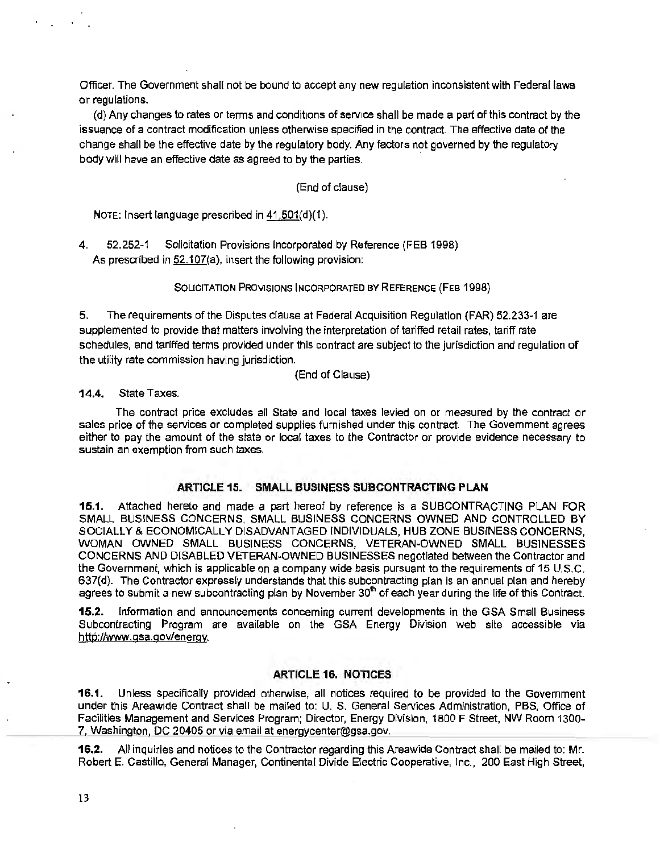Officer. The Government shall not be bound to accept any new regulation inconsistent with Federal taws or regulations.

(d) Any changes to rates or terms and conditions of service shall be made a part of this contract by the issuance of a contract modification unless otherwise specified in the contract. The effective date of the change shall be the effective date by the regulatory body. Any factors not governed by the regulatory body will have an effective date as agreed to by the parties.

#### (End of clause)

NOTE: Insert language prescribed in 41.501(d)(1).

4. 52.252~1 Solicitation Provisions Incorporated by Reference (FEB 1998) As prescribed in 52.107(a), insert the following provision:

SOLICITATION PROVISIONS INCORPORATED BY REFERENCE (FEB 1998)

5. The requirements of the Disputes clause at Federal Acquisition Regulation (FAR) <sup>52</sup> 233~1 are supplemented to provide that matters involving the interpretation of tariffed retail rates, tariff rate schedules, and tariffed terms provided under this contract are subject to the jurisdiction and regulation of the utility rate commission having jurisdiction.

(End of Clause)

#### **14.4.** State Taxes.

The contract price excludes all State and local taxes levied on or measured by the contract or sales price of the services or completed supplies furnished under this contract. The Government agrees either to pay the amount of the state or local taxes to the Contractor or provide evidence necessary to sustain an exemption from such taxes.

#### **ARTICLE 15. SMALL BUSINESS SUBCONTRACTING PLAN**

**15.1.** Attached hereto and made a part hereof by reference is a SUBCONTRACTING PLAN FOR SMALL BUSINESS CONCERNS, SMALL BUSINESS CONCERNS OWNED AND CONTROLLED BY SOCIALLY & ECONOMICALLY DISADVANTAGED INDIVIDUALS, HUB ZONE BUSINESS CONCERNS, WOMAN OWNED SMALL BUSINESS CONCERNS, VETERAN-OWNED SMALL BUSINESSES CONCERNS AND DISABLED VETERAN~OWNED BUSINESSES negotiated between the Contractor and the Government, which is applicable on a company wide basis pursuant to the requirements of 15 U.S.C. 637(d). The Contractor expressly understands that this subcontracting plan is an annual plan and hereby agrees to submit a new subcontracting plan by November 30<sup>th</sup> of each year during the life of this Contract.

**15.2.** Information and announcements concerning current developments in the GSA Small Business Subcontracting Program are available on the GSA Energy Division web site accessible via http://www.gsa.gov/energy.

#### **ARTICLE 16. NOTICES**

**16.1.** Unless specifically provided otherwise, all notices required to be provided to the Government under this Areawide Contract shall be mailed to: U. S. General Services Administration, PBS, Office of Facilities Management and Services Program; Director, Energy Division, 1800 F Street, NW Room 1300~ 7, Washington, DC 20405 or via email at energycenter@gsa.gov.

**16.2.** All inquiries and notices to the Contractor regarding this Areawide Contract shall be mailed to: Mr. Robert E. Castillo, General Manager, Continental Divide Electric Cooperative, Inc., 200 East High Street,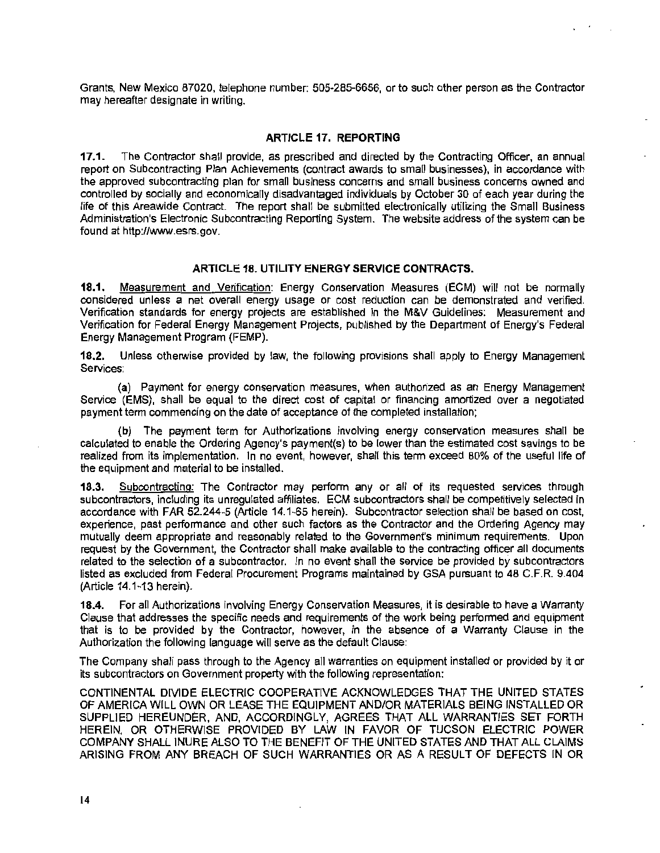Grants, New Mexico 87020, telephone number: 505-285-6656, or to such other person as the Contractor may hereafter designate in writing.

#### **ARTICLE 17. REPORTING**

**17 .1.** The Contractor shall provide, as prescribed and directed by the Contracting Officer, an annual report on Subcontracting Plan Achievements (contract awards to small businesses), in accordance with the approved subcontracting plan for small business concerns and small business concerns owned and controlled by socially and economically disadvantaged individuals by October 30 of each year during the life of this Areawide Contract. The report shall be submitted electronically utilizing the Small Business Administration's Electronic Subcontracting Reporting System. The website address of the system can be found at http://www.esrs.gov.

#### **ARTICLE 18. UTILITY ENERGY SERVICE CONTRACTS.**

**18.1.** Measurement and Verification: Energy Conservation Measures (ECM) will not be normally considered unless a net overall energy usage or cost reduction can be demonstrated and verified. Verification standards for energy projects are established in the M&V Guidelines: Measurement and Verification for Federal Energy Management Projects, published by the Department of Energy's Federal Energy Management Program (FEMP).

**18.2.** Unless otherwise provided by law, the following provisions shall apply to Energy Management Services:

**(a)** Payment for energy conservation measures, when authorized as an Energy Management Service (EMS), shall be equal to the direct cost of capital or financing amortized over a negotiated payment term commencing on the date of acceptance of the completed installation;

**(b)** The payment term for Authorizations involving energy conservation measures shall be calculated to enable the Ordering Agency's payment(s) to be lower than the estimated cost savings to be realized from its implementation. In no event, however, shall this term exceed 80% of the useful life of the equipment and material to be installed.

**18.3.** Subcontracting: The Contractor may perform any or all of its requested services through subcontractors, including its unregulated affiliates. ECM subcontractors shall be competitively selected in accordance with FAR 52.244-5 (Article 14.1-65 herein). Subcontractor selection shall be based on cost, experience, past performance and other such factors as the Contractor and the Ordering Agency may mutually deem appropriate and reasonably related to the Government's minimum requirements. Upon request by the Government, the Contractor shall make available to the contracting officer all documents related to the selection of a subcontractor. In no event shall the service be provided by subcontractors listed as excluded from Federal Procurement Programs maintained by GSA pursuant to 48 C.F.R. 9.404 (Article 14.1-13 herein).

**18.4.** For all Authorizations involving Energy Conservation Measures, it is desirable to have a Warranty Clause that addresses the specific needs and requirements of the work being performed and equipment that is to be provided by the Contractor, however, in the absence of a Warranty Clause in the Authorization the following language will serve as the default Clause:

The Company shall pass through to the Agency all warranties on equipment installed or provided by it or its subcontractors on Government property with the following representation:

CONTINENTAL DIVIDE ELECTRIC COOPERATIVE ACKNOWLEDGES THAT THE UNITED STATES OF AMERICA WILL OWN OR LEASE THE EQUIPMENT AND/OR MATERIALS BEING INSTALLED OR SUPPLIED HEREUNDER, AND, ACCORDINGLY, AGREES THAT ALL WARRANTIES SET FORTH HEREIN, OR OTHERWISE PROVIDED BY LAW IN FAVOR OF TUCSON ELECTRIC POWER COMPANY SHALL INURE ALSO TO THE BENEFIT OF THE UNITED STATES AND THAT ALL CLAIMS ARISING FROM ANY BREACH OF SUCH WARRANTIES OR AS A RESULT OF DEFECTS IN OR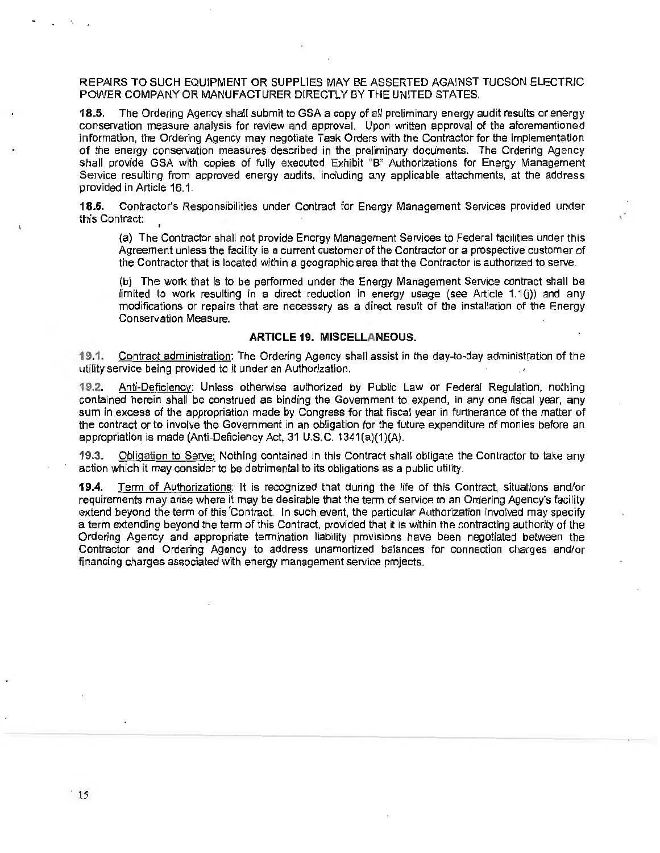REPAIRS TO SUCH EQUIPMENT OR SUPPLIES MAY BE ASSERTED AGAINST TUCSON ELECTRIC POWER COMPANY OR MANUFACTURER DIRECTLY BY THE UNITED STATES.

**18.5.** The Ordering Agency shall submit to GSA a copy of all preliminary energy audit results or energy conservation measure analysis for review and approval. Upon written approval of the aforementioned information, the Ordering Agency may negotiate Task Orders with the Contractor for the implementation of the energy conservation measures described in the preliminary documents. The Ordering Agency shall provide GSA with copies of fully executed Exhibit "B" Authorizations for Energy Management Service resulting from approved energy audits, including any applicable attachments, at the address provided in Article 16.1.

**18.6.** Contractor's Responsibilities under Contract for Energy Management Services provided under this Contract:

(a) The Contractor shall not provide Energy Management Services to Federal facilities under this Agreement unless the facility is a current customer of the Contractor or a prospective customer of the Contractor that is located within a geographic area that the Contractor is authorized to serve.

(b) The work that is to be performed under the Energy Management Service contract shall be limited to work resulting in a direct reduction in energy usage (see Article 1.1 $(i)$ ) and any modifications or repairs that are necessary as a direct result of the installation of the Energy Conservation Measure.

#### **ARTICLE 19. MISCELLANEOUS.**

**19.1.** Contract administration: The Ordering Agency shall assist in the day-to-day administration of the utility service being provided to it under an Authorization.

**19.2.** Anti-Deficiency: Unless otherwise authorized by Public Law or Federal Regulation, nothing contained herein shall be construed as binding the Government to expend, in any one fiscal year, any sum in excess of the appropriation made by Congress for that fiscal year in furtherance of the matter of the contract or to involve the Government in an obligation for the future expenditure of monies before an appropriation is made (Anti-Deficiency Act, 31 U.S.C. 1341(a)(1)(A).

19.3. Cobligation to Serve: Nothing contained in this Contract shall obligate the Contractor to take any action which it may consider to be detrimental to its obligations as a public utility.

**19.4.** Term of Authorizations: It is recognized that during the life of this Contract, situations and/or requirements may arise where it may be desirable that the term of service to an Ordering Agency's facility extend beyond the term of this Contract. In such event, the particular Authorization involved may specify a term extending beyond the term of this Contract, provided that it is within the contracting authority of the Ordering Agency and appropriate termination liability provisions have been negotiated between the Contractor and Ordering Agency to address unamortized balances for connection charges and/or financing charges associated with energy management service projects.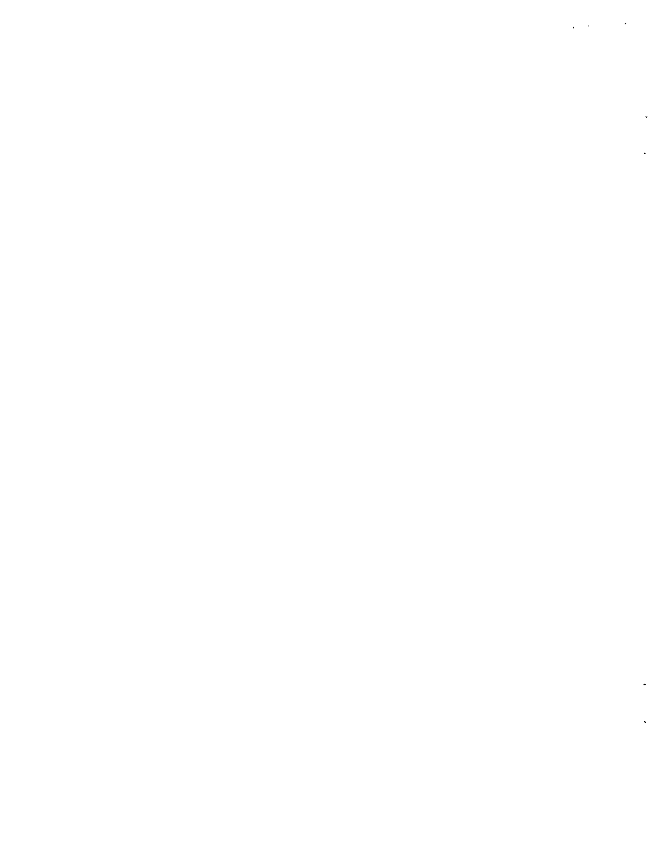¥,

 $\epsilon$ 

 $\bullet$ 

 $\mathcal{L}^{(1)}$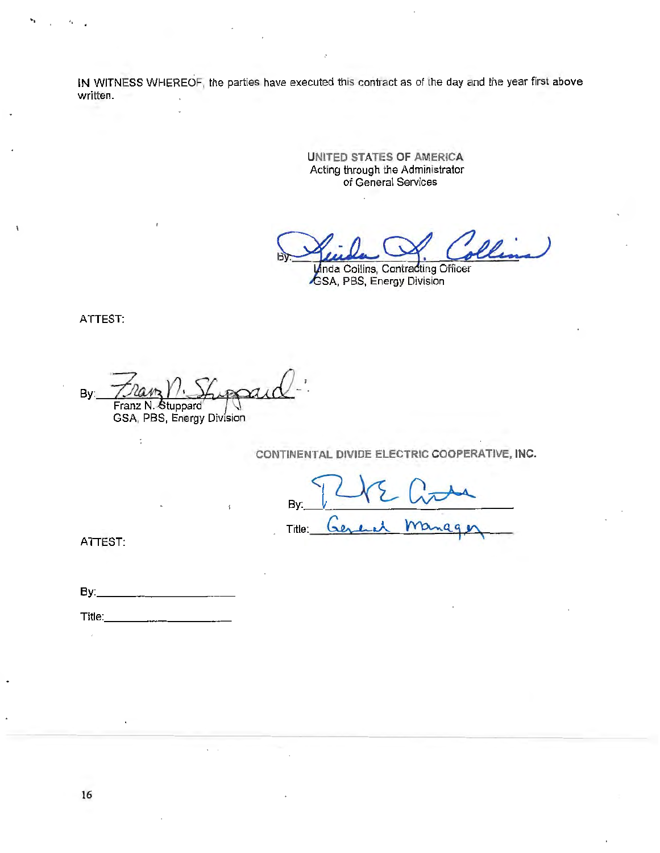IN WITNESS WHEREOF, the parties have executed this contract as of the day and the year first above written.

> **UNITED STATES OF AMERICA**  Acting through the Administrator of General Services

**Unda Collins, Contracting Officer** 

GSA, PBS, Energy Division

ATTEST:

.. ..

By: Franz N. Stuppard GSA, PBS, Energy Division

CONTINENTAL DIVIDE ELECTRIC COOPERATIVE, INC. Title : By: ATTEST: Title: General Manager

By:\_\_\_ \_\_\_\_\_\_

 $\Box$  .

Title:  $\frac{1}{2}$   $\frac{1}{2}$   $\frac{1}{2}$   $\frac{1}{2}$   $\frac{1}{2}$   $\frac{1}{2}$   $\frac{1}{2}$   $\frac{1}{2}$   $\frac{1}{2}$   $\frac{1}{2}$   $\frac{1}{2}$   $\frac{1}{2}$   $\frac{1}{2}$   $\frac{1}{2}$   $\frac{1}{2}$   $\frac{1}{2}$   $\frac{1}{2}$   $\frac{1}{2}$   $\frac{1}{2}$   $\frac{1}{2}$   $\frac{1}{2}$   $\frac{$ 

 $\ddot{\phantom{0}}$ 

16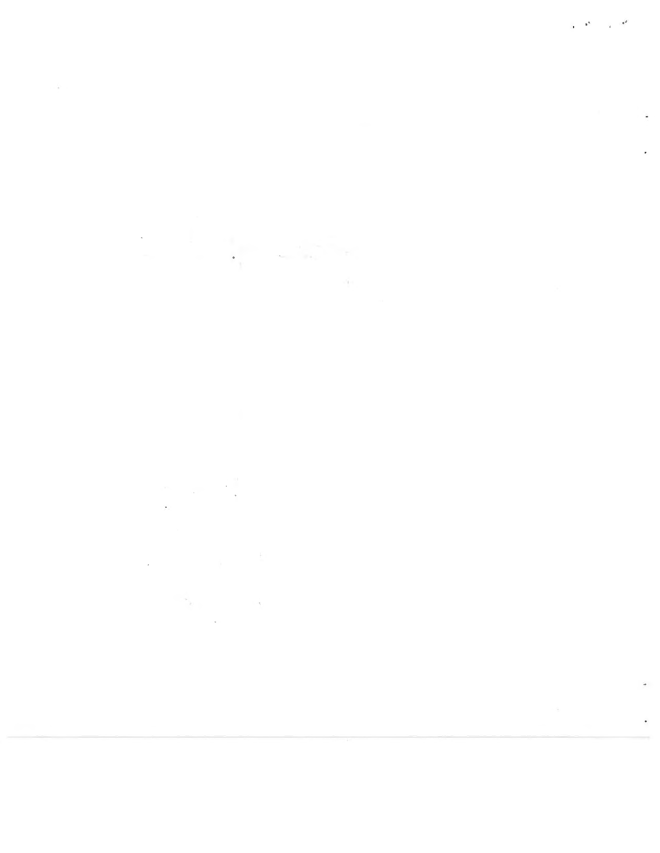$\label{eq:2.1} \frac{1}{\sqrt{2\pi}}\frac{1}{\sqrt{2\pi}}\frac{1}{\sqrt{2\pi}}\frac{1}{\sqrt{2\pi}}\frac{1}{\sqrt{2\pi}}\frac{1}{\sqrt{2\pi}}\frac{1}{\sqrt{2\pi}}\frac{1}{\sqrt{2\pi}}\frac{1}{\sqrt{2\pi}}\frac{1}{\sqrt{2\pi}}\frac{1}{\sqrt{2\pi}}\frac{1}{\sqrt{2\pi}}\frac{1}{\sqrt{2\pi}}\frac{1}{\sqrt{2\pi}}\frac{1}{\sqrt{2\pi}}\frac{1}{\sqrt{2\pi}}\frac{1}{\sqrt{2\pi}}\frac{1}{\sqrt$  $\label{eq:2.1} \begin{array}{ccccc} \mathcal{L}_{\mathcal{A}} & \mathcal{L}_{\mathcal{A}} & \mathcal{L}_{\mathcal{A}} & \mathcal{L}_{\mathcal{A}} & \mathcal{L}_{\mathcal{A}} \\ \mathcal{L}_{\mathcal{A}} & \mathcal{L}_{\mathcal{A}} & \mathcal{L}_{\mathcal{A}} & \mathcal{L}_{\mathcal{A}} & \mathcal{L}_{\mathcal{A}} \\ \mathcal{L}_{\mathcal{A}} & \mathcal{L}_{\mathcal{A}} & \mathcal{L}_{\mathcal{A}} & \mathcal{L}_{\mathcal{A}} & \mathcal{L}_{\mathcal{A}} \\ \mathcal{L}_{\math$ 

 $\sim 50$  . The mass  $\sim 10^{-10}$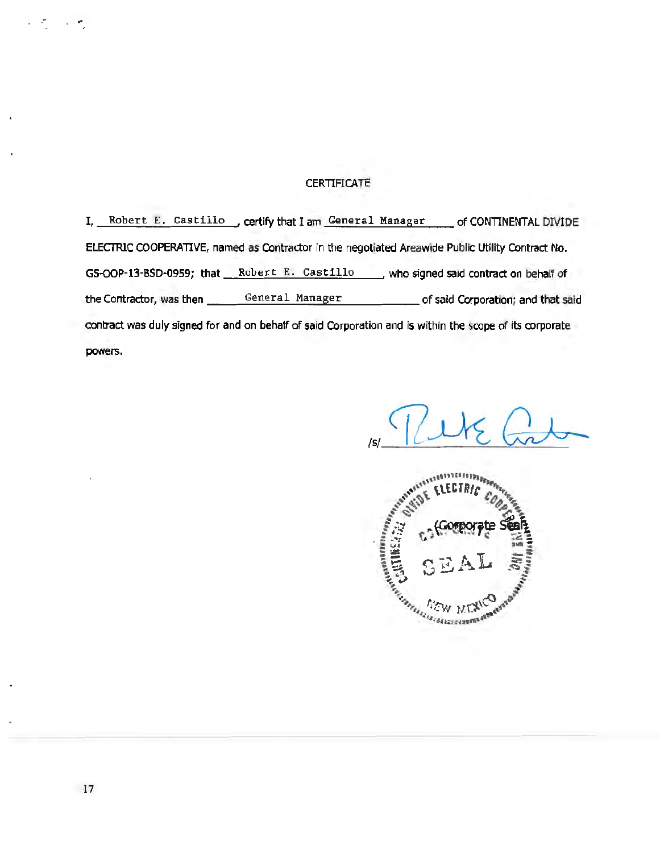### **CERTIFICATE**

I, Robert E. Castillo , certify that I am General Manager of CONTINENTAL DIVIDE ELECTRIC COOPERATIVE, named as COntractor in the negotiated Areawide Public utility Contract No. GS-OOP-13-BSD-0959; that Robert E. Castillo y who signed said contract on behalf of the Contractor, was then General Manager of said Corporation; and that said contract was duly signed for and on behalf of said Corporation and is within the scope of its corporate powers.

 $116$ 



 $\ddot{\cdot}$  "  $\ddot{\cdot}$  "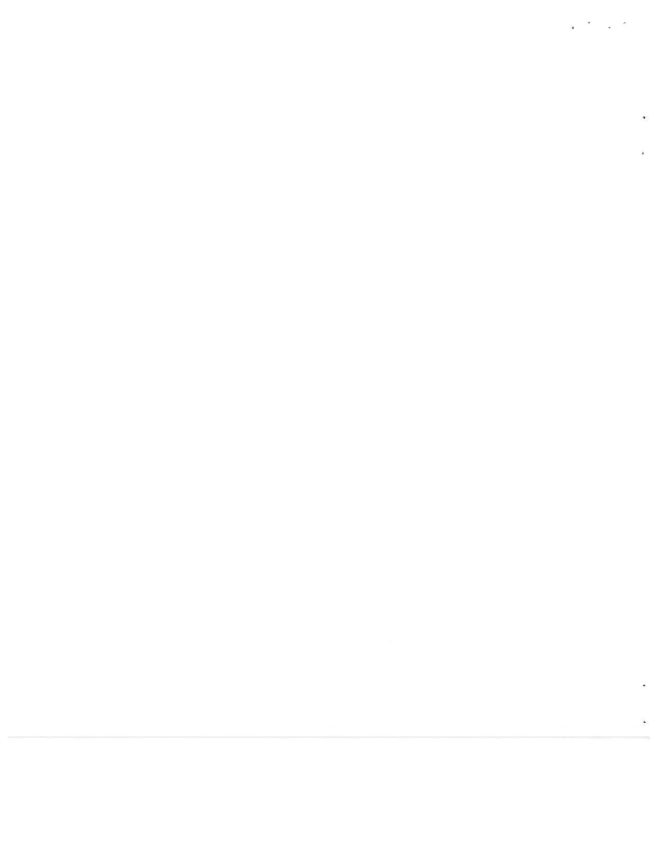$\mathbf{k}_\perp$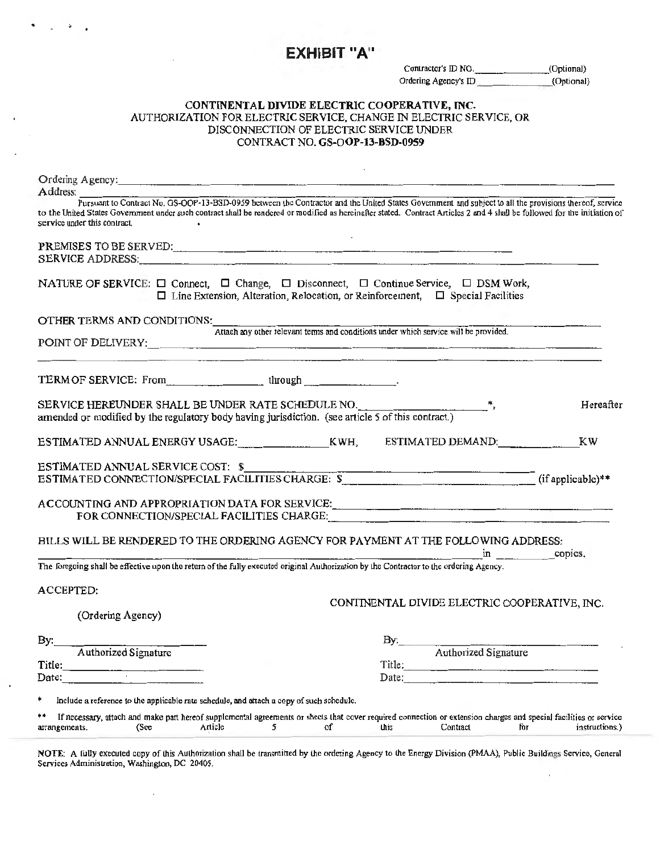## **EXHIBIT "A"**

J.

|                                                                                                                                                                                                                                                                                                                                                                                                                                                                                                    |                                                                                                                                                                | <u>LAIRDII</u>                                                                       |      |          |                                               |
|----------------------------------------------------------------------------------------------------------------------------------------------------------------------------------------------------------------------------------------------------------------------------------------------------------------------------------------------------------------------------------------------------------------------------------------------------------------------------------------------------|----------------------------------------------------------------------------------------------------------------------------------------------------------------|--------------------------------------------------------------------------------------|------|----------|-----------------------------------------------|
|                                                                                                                                                                                                                                                                                                                                                                                                                                                                                                    |                                                                                                                                                                |                                                                                      |      |          | Contractor's ID NO. (Optional)                |
|                                                                                                                                                                                                                                                                                                                                                                                                                                                                                                    |                                                                                                                                                                |                                                                                      |      |          | Ordering Agency's ID (Optional)               |
|                                                                                                                                                                                                                                                                                                                                                                                                                                                                                                    | CONTINENTAL DIVIDE ELECTRIC COOPERATIVE, INC.<br>AUTHORIZATION FOR ELECTRIC SERVICE, CHANGE IN ELECTRIC SERVICE, OR<br>DISCONNECTION OF ELECTRIC SERVICE UNDER | CONTRACT NO. GS-OOP-13-BSD-0959                                                      |      |          |                                               |
| Ordering Agency: 2008. 2008. 2009. 2009. 2009. 2009. 2010. 2010. 2010. 2010. 2010. 2010. 2010. 2010. 2010. 201<br>Address:<br>Pursuant to Contract No. GS-OOP-13-BSD-0959 between the Contractor and the United States Government and subject to all the provisions thereof, service<br>to the United States Government under such contract shall be rendered or modified as hereinafter stated. Contract Articles 2 and 4 shall be followed for the initiation of<br>service under this contract. |                                                                                                                                                                |                                                                                      |      |          |                                               |
| PREMISES TO BE SERVED:<br>SERVICE ADDRESS: New York Service ADDRESS:                                                                                                                                                                                                                                                                                                                                                                                                                               |                                                                                                                                                                |                                                                                      |      |          |                                               |
| NATURE OF SERVICE: $\Box$ Connect, $\Box$ Change, $\Box$ Disconnect, $\Box$ Continue Service, $\Box$ DSM Work,                                                                                                                                                                                                                                                                                                                                                                                     | $\Box$ Line Extension, Alteration, Relocation, or Reinforcement, $\Box$ Special Facilities                                                                     |                                                                                      |      |          |                                               |
| OTHER TERMS AND CONDITIONS:                                                                                                                                                                                                                                                                                                                                                                                                                                                                        |                                                                                                                                                                |                                                                                      |      |          |                                               |
| POINT OF DELIVERY:                                                                                                                                                                                                                                                                                                                                                                                                                                                                                 |                                                                                                                                                                | Attach any other relevant terms and conditions under which service will be provided. |      |          |                                               |
| TERM OF SERVICE: From through through                                                                                                                                                                                                                                                                                                                                                                                                                                                              |                                                                                                                                                                |                                                                                      |      |          |                                               |
| SERVICE HEREUNDER SHALL BE UNDER RATE SCHEDULE NO. _____________________________<br>amended or modified by the regulatory body having jurisdiction. (see article 5 of this contract.)                                                                                                                                                                                                                                                                                                              |                                                                                                                                                                |                                                                                      |      |          | Hereafter                                     |
| ESTIMATED ANNUAL ENERGY USAGE: KWH, ESTIMATED DEMAND: KW                                                                                                                                                                                                                                                                                                                                                                                                                                           |                                                                                                                                                                |                                                                                      |      |          |                                               |
| ESTIMATED ANNUAL SERVICE COST: \$<br>ESTIMATED ANNUAL SERVICE COST: \$<br>ESTIMATED CONNECTION/SPECIAL FACILITIES CHARGE: \$                                                                                                                                                                                                                                                                                                                                                                       |                                                                                                                                                                |                                                                                      |      |          |                                               |
| FOR CONNECTION/SPECIAL FACILITIES CHARGE:                                                                                                                                                                                                                                                                                                                                                                                                                                                          |                                                                                                                                                                |                                                                                      |      |          |                                               |
| BILLS WILL BE RENDERED TO THE ORDERING AGENCY FOR PAYMENT AT THE FOLLOWING ADDRESS:                                                                                                                                                                                                                                                                                                                                                                                                                |                                                                                                                                                                |                                                                                      |      |          | copies.                                       |
| The foregoing shall be effective upon the return of the fully executed original Authorization by the Contractor to the ordering Agency.                                                                                                                                                                                                                                                                                                                                                            |                                                                                                                                                                |                                                                                      |      |          |                                               |
| <b>ACCEPTED:</b>                                                                                                                                                                                                                                                                                                                                                                                                                                                                                   |                                                                                                                                                                |                                                                                      |      |          | CONTINENTAL DIVIDE ELECTRIC COOPERATIVE, INC. |
| (Ordering Agency)                                                                                                                                                                                                                                                                                                                                                                                                                                                                                  |                                                                                                                                                                |                                                                                      |      |          |                                               |
| By:<br>Authorized Signature                                                                                                                                                                                                                                                                                                                                                                                                                                                                        |                                                                                                                                                                |                                                                                      |      |          | By: Authorized Signature                      |
|                                                                                                                                                                                                                                                                                                                                                                                                                                                                                                    |                                                                                                                                                                |                                                                                      |      |          |                                               |
| Title:<br>Date:                                                                                                                                                                                                                                                                                                                                                                                                                                                                                    |                                                                                                                                                                |                                                                                      |      |          | Date: $\frac{1}{2}$                           |
| *<br>Include a reference to the applicable rate schedule, and attach a copy of such schedule.                                                                                                                                                                                                                                                                                                                                                                                                      |                                                                                                                                                                |                                                                                      |      |          |                                               |
| If necessary, attach and make part hereof supplemental agreements or sheets that cover required connection or extension charges and special facilities or service<br>٠<br>arrangements.<br>(Sce                                                                                                                                                                                                                                                                                                    | 5<br>Article                                                                                                                                                   | οf                                                                                   | Uhis | Contract | for<br>instructions.                          |

NOTE: A fully executed copy of this Authorization shall be transmitted by the ordering Agency to the Energy Division (PMAA}, Public Buildings Service, General Services Administration, Washington, DC 20405.

 $\bar{1}$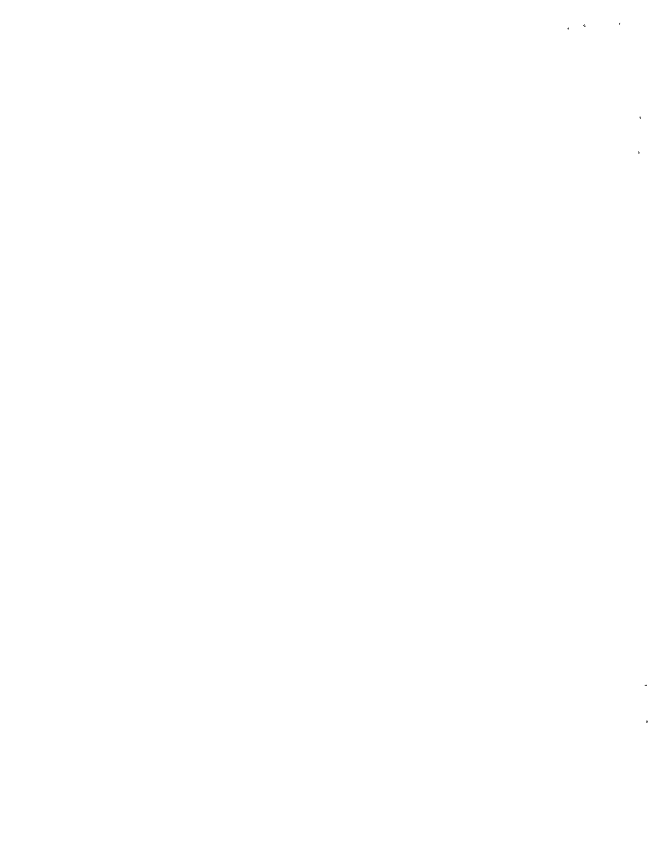$\sim$   $\epsilon$  $\sim$  4 ÷.  $\epsilon$  $\mathbf{r}^{(i)}$ ¥,  $\bar{\mathbf{r}}$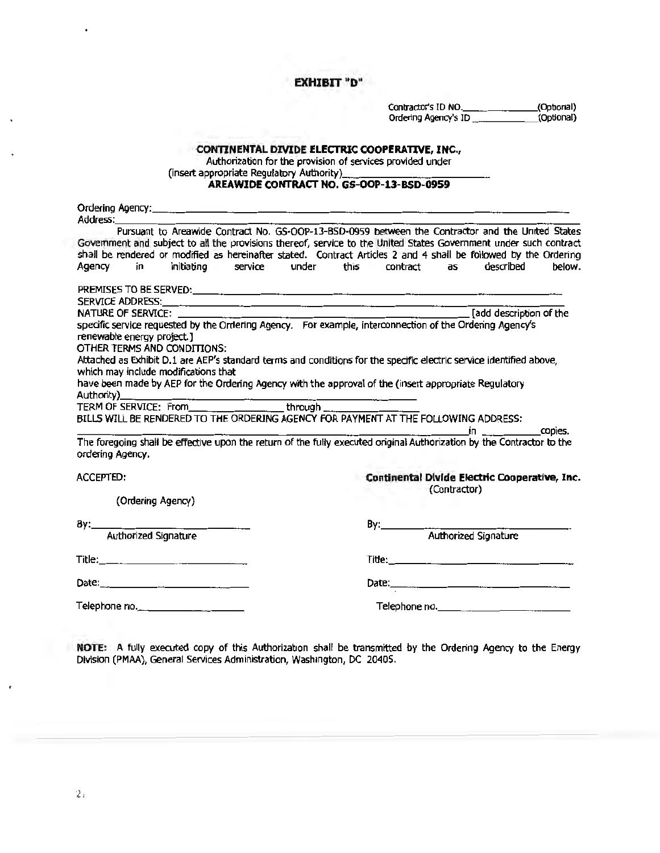### EXHIBIT"D"

Contractor's ID NO. \_\_\_\_\_\_\_\_\_\_\_\_\_\_\_\_\_\_\_\_\_(Optional)<br>Ordering Agency's ID (Optional) Ordering Agency's ID

#### CONTINENTAL DIVIDE ELECTRIC COOPERATIVE, INC.,

Authorization for the provision of services provided under (insert appropriate Regulatory Authority) AREAWIDE CONTRACT NO. GS-OOP-13-BSD-0959

\_\_\_\_\_\_\_\_\_\_\_\_\_\_\_\_\_\_\_\_\_\_\_\_\_\_\_\_\_\_\_\_\_\_\_\_\_\_\_ \_ Ordering Agency:\_ \_ \_\_\_\_ \_\_\_\_\_ \_\_\_\_\_\_\_\_\_\_ \_\_\_\_\_ \_\_\_\_\_

Address: Pursuant to Areawide Contract No. GS-OOP-13-BS0-0959 between the Contractor and the United States Government and subject to all the provisions thereof, service to the United States Government under such contract shall be rendered or modified as hereinafter stated. Contract Articles 2 and 4 shall be followed by the Ordering<br>Agency in initiating service under this contract as described below. Agency in initiating service under this contract as described below. PREMISES TO BE SERVED:\_\_\_\_\_\_\_\_\_\_\_\_\_\_\_\_\_\_\_\_ \_\_\_\_\_ SERVICE ADDRESS:.\_\_\_\_\_\_\_\_\_\_ \_\_\_\_ \_\_\_\_\_ \_\_\_\_\_\_\_\_

NATURE OF SERVICE: **EXAMPLE A SERVICE:** [add description of the spedfic service requested by the Ordering Agency. For example, interconnection of the Ordering Agency's renewable energy project.]

OTHER TERMS AND CONDITIONS:

Attached as Exhibit D.l are AEP's standard terms and conditions for the specific electric service identified above, which may include modifications that

have been made by AEP for the Ordering Agency with the approval of the (insert appropriate Regulatory Authority)-:---.-------------------

TERM OF SERVICE: From the service of the service of the service of the service of the service of the service of the service of the service of the service of the service of the service of the service of the service of the s

BILLS WILL BE RENDERED TO THE ORDERING AGENCY FOR PAYMENT AT THE FOLLOWING ADDRESS:<br>BILLS WILL BE RENDERED TO THE ORDERING AGENCY FOR PAYMENT AT THE FOLLOWING ADDRESS:<br>The foregoing shall be effective upon the return of th

The foregoing shall be effective upon the return of the fully executed original Authorization by the Contractor to the ordering Agency.

ACCEPTED: Continental Divide Electric Cooperative, Inc. (Contractor)

(Ordering Agency) By:\_\_\_\_\_\_\_\_\_\_ \_ By:\_\_\_\_ \_\_\_\_\_\_\_\_

Authorized Signature **Authorized Signature** Authorized Signature

| Title: |  |   |
|--------|--|---|
|        |  | _ |

Telephone no. **The state of the state of the state of the state of the state of the state of the state of the state of the state of the state of the state of the state of the state of the state of the state of the state of** 

| _      | __     |  |
|--------|--------|--|
| Title: | Title: |  |

| Date: |  | Date:<br><b>The Company of Company</b> | $-$ |
|-------|--|----------------------------------------|-----|

NOTE: A fully executed copy of this Authorization shall be transmitted by the Ordering Agency to the Energy Division (PMAA), General Services Administration, Washington, DC 20405.